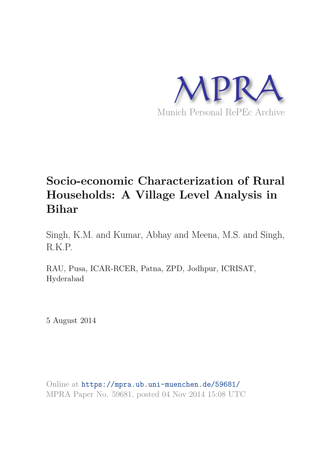

# **Socio-economic Characterization of Rural Households: A Village Level Analysis in Bihar**

Singh, K.M. and Kumar, Abhay and Meena, M.S. and Singh, R.K.P.

RAU, Pusa, ICAR-RCER, Patna, ZPD, Jodhpur, ICRISAT, Hyderabad

5 August 2014

Online at https://mpra.ub.uni-muenchen.de/59681/ MPRA Paper No. 59681, posted 04 Nov 2014 15:08 UTC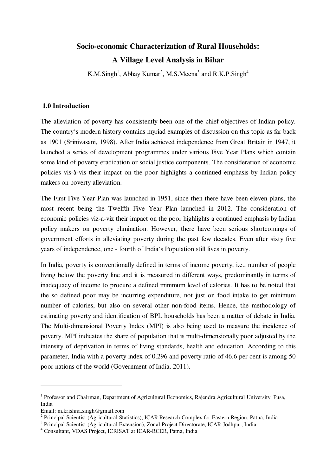## **Socio-economic Characterization of Rural Households: A Village Level Analysis in Bihar**

K.M.Singh<sup>1</sup>, Abhay Kumar<sup>2</sup>, M.S.Meena<sup>3</sup> and R.K.P.Singh<sup>4</sup>

#### **1.0 Introduction**

The alleviation of poverty has consistently been one of the chief objectives of Indian policy. The country's modern history contains myriad examples of discussion on this topic as far back as 1901 (Srinivasani, 1998). After India achieved independence from Great Britain in 1947, it launched a series of development programmes under various Five Year Plans which contain some kind of poverty eradication or social justice components. The consideration of economic policies vis-à-vis their impact on the poor highlights a continued emphasis by Indian policy makers on poverty alleviation.

The First Five Year Plan was launched in 1951, since then there have been eleven plans, the most recent being the Twelfth Five Year Plan launched in 2012. The consideration of economic policies viz-a-viz their impact on the poor highlights a continued emphasis by Indian policy makers on poverty elimination. However, there have been serious shortcomings of government efforts in alleviating poverty during the past few decades. Even after sixty five years of independence, one - fourth of India's Population still lives in poverty.

In India, poverty is conventionally defined in terms of income poverty, i.e., number of people living below the poverty line and it is measured in different ways, predominantly in terms of inadequacy of income to procure a defined minimum level of calories. It has to be noted that the so defined poor may be incurring expenditure, not just on food intake to get minimum number of calories, but also on several other non-food items. Hence, the methodology of estimating poverty and identification of BPL households has been a matter of debate in India. The Multi-dimensional Poverty Index (MPI) is also being used to measure the incidence of poverty. MPI indicates the share of population that is multi-dimensionally poor adjusted by the intensity of deprivation in terms of living standards, health and education. According to this parameter, India with a poverty index of 0.296 and poverty ratio of 46.6 per cent is among 50 poor nations of the world (Government of India, 2011).

j

<sup>&</sup>lt;sup>1</sup> Professor and Chairman, Department of Agricultural Economics, Rajendra Agricultural University, Pusa, India

Email: m.krishna.singh@gmail.com

<sup>&</sup>lt;sup>2</sup> Principal Scientist (Agricultural Statistics), ICAR Research Complex for Eastern Region, Patna, India

<sup>&</sup>lt;sup>3</sup> Principal Scientist (Agricultural Extension), Zonal Project Directorate, ICAR-Jodhpur, India

<sup>4</sup> Consultant, VDAS Project, ICRISAT at ICAR-RCER, Patna, India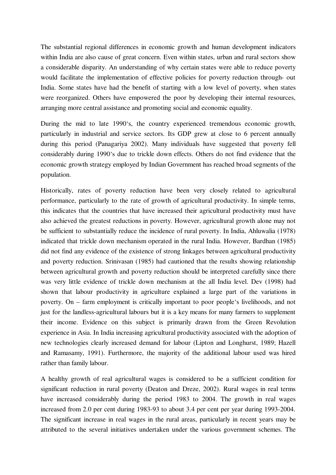The substantial regional differences in economic growth and human development indicators within India are also cause of great concern. Even within states, urban and rural sectors show a considerable disparity. An understanding of why certain states were able to reduce poverty would facilitate the implementation of effective policies for poverty reduction through- out India. Some states have had the benefit of starting with a low level of poverty, when states were reorganized. Others have empowered the poor by developing their internal resources, arranging more central assistance and promoting social and economic equality.

During the mid to late 1990's, the country experienced tremendous economic growth, particularly in industrial and service sectors. Its GDP grew at close to 6 percent annually during this period (Panagariya 2002). Many individuals have suggested that poverty fell considerably during 1990's due to trickle down effects. Others do not find evidence that the economic growth strategy employed by Indian Government has reached broad segments of the population.

Historically, rates of poverty reduction have been very closely related to agricultural performance, particularly to the rate of growth of agricultural productivity. In simple terms, this indicates that the countries that have increased their agricultural productivity must have also achieved the greatest reductions in poverty. However, agricultural growth alone may not be sufficient to substantially reduce the incidence of rural poverty. In India, Ahluwalia (1978) indicated that trickle down mechanism operated in the rural India. However, Bardhan (1985) did not find any evidence of the existence of strong linkages between agricultural productivity and poverty reduction. Srinivasan (1985) had cautioned that the results showing relationship between agricultural growth and poverty reduction should be interpreted carefully since there was very little evidence of trickle down mechanism at the all India level. Dev (1998) had shown that labour productivity in agriculture explained a large part of the variations in poverty. On – farm employment is critically important to poor people's livelihoods, and not just for the landless-agricultural labours but it is a key means for many farmers to supplement their income. Evidence on this subject is primarily drawn from the Green Revolution experience in Asia. In India increasing agricultural productivity associated with the adoption of new technologies clearly increased demand for labour (Lipton and Longhurst, 1989; Hazell and Ramasamy, 1991). Furthermore, the majority of the additional labour used was hired rather than family labour.

A healthy growth of real agricultural wages is considered to be a sufficient condition for significant reduction in rural poverty (Deaton and Dreze, 2002). Rural wages in real terms have increased considerably during the period 1983 to 2004. The growth in real wages increased from 2.0 per cent during 1983-93 to about 3.4 per cent per year during 1993-2004. The significant increase in real wages in the rural areas, particularly in recent years may be attributed to the several initiatives undertaken under the various government schemes. The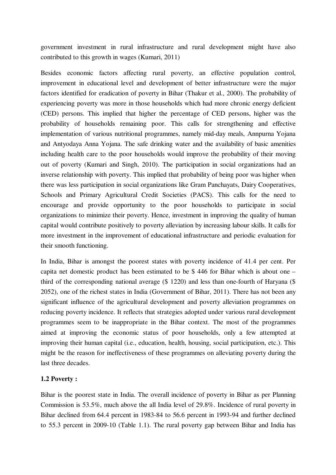government investment in rural infrastructure and rural development might have also contributed to this growth in wages (Kumari, 2011)

Besides economic factors affecting rural poverty, an effective population control, improvement in educational level and development of better infrastructure were the major factors identified for eradication of poverty in Bihar (Thakur et al., 2000). The probability of experiencing poverty was more in those households which had more chronic energy deficient (CED) persons. This implied that higher the percentage of CED persons, higher was the probability of households remaining poor. This calls for strengthening and effective implementation of various nutritional programmes, namely mid-day meals, Annpurna Yojana and Antyodaya Anna Yojana. The safe drinking water and the availability of basic amenities including health care to the poor households would improve the probability of their moving out of poverty (Kumari and Singh, 2010). The participation in social organizations had an inverse relationship with poverty. This implied that probability of being poor was higher when there was less participation in social organizations like Gram Panchayats, Dairy Cooperatives, Schools and Primary Agricultural Credit Societies (PACS). This calls for the need to encourage and provide opportunity to the poor households to participate in social organizations to minimize their poverty. Hence, investment in improving the quality of human capital would contribute positively to poverty alleviation by increasing labour skills. It calls for more investment in the improvement of educational infrastructure and periodic evaluation for their smooth functioning.

In India, Bihar is amongst the poorest states with poverty incidence of 41.4 per cent. Per capita net domestic product has been estimated to be \$ 446 for Bihar which is about one – third of the corresponding national average (\$ 1220) and less than one-fourth of Haryana (\$ 2052), one of the richest states in India (Government of Bihar, 2011). There has not been any significant influence of the agricultural development and poverty alleviation programmes on reducing poverty incidence. It reflects that strategies adopted under various rural development programmes seem to be inappropriate in the Bihar context. The most of the programmes aimed at improving the economic status of poor households, only a few attempted at improving their human capital (i.e., education, health, housing, social participation, etc.). This might be the reason for ineffectiveness of these programmes on alleviating poverty during the last three decades.

#### **1.2 Poverty :**

Bihar is the poorest state in India. The overall incidence of poverty in Bihar as per Planning Commission is 53.5%, much above the all India level of 29.8%. Incidence of rural poverty in Bihar declined from 64.4 percent in 1983-84 to 56.6 percent in 1993-94 and further declined to 55.3 percent in 2009-10 (Table 1.1). The rural poverty gap between Bihar and India has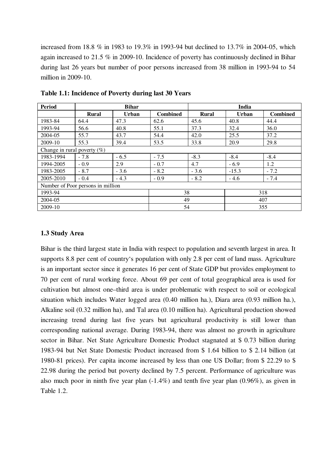increased from 18.8 % in 1983 to 19.3% in 1993-94 but declined to 13.7% in 2004-05, which again increased to 21.5 % in 2009-10. Incidence of poverty has continuously declined in Bihar during last 26 years but number of poor persons increased from 38 million in 1993-94 to 54 million in 2009-10.

| <b>Period</b>                     | <b>Bihar</b> |              |                 | India        |              |                 |
|-----------------------------------|--------------|--------------|-----------------|--------------|--------------|-----------------|
|                                   | <b>Rural</b> | <b>Urban</b> | <b>Combined</b> | <b>Rural</b> | <b>Urban</b> | <b>Combined</b> |
| 1983-84                           | 64.4         | 47.3         | 62.6            | 45.6         | 40.8         | 44.4            |
| 1993-94                           | 56.6         | 40.8         | 55.1            | 37.3         | 32.4         | 36.0            |
| 2004-05                           | 55.7         | 43.7         | 54.4            | 42.0         | 25.5         | 37.2            |
| 2009-10                           | 55.3         | 39.4         | 53.5            | 33.8         | 20.9         | 29.8            |
| Change in rural poverty $(\%)$    |              |              |                 |              |              |                 |
| 1983-1994                         | $-7.8$       | $-6.5$       | $-7.5$          | $-8.3$       | $-8.4$       | $-8.4$          |
| 1994-2005                         | $-0.9$       | 2.9          | $-0.7$          | 4.7          | $-6.9$       | 1.2             |
| 1983-2005                         | $-8.7$       | $-3.6$       | $-8.2$          | $-3.6$       | $-15.3$      | $-7.2$          |
| 2005-2010                         | $-0.4$       | $-4.3$       | $-0.9$          | $-8.2$       | $-4.6$       | $-7.4$          |
| Number of Poor persons in million |              |              |                 |              |              |                 |
| 1993-94                           |              | 38           |                 |              | 318          |                 |
| 2004-05                           |              |              | 49              |              | 407          |                 |
| 2009-10                           |              |              | 54              |              | 355          |                 |

**Table 1.1: Incidence of Poverty during last 30 Years** 

#### **1.3 Study Area**

Bihar is the third largest state in India with respect to population and seventh largest in area. It supports 8.8 per cent of country's population with only 2.8 per cent of land mass. Agriculture is an important sector since it generates 16 per cent of State GDP but provides employment to 70 per cent of rural working force. About 69 per cent of total geographical area is used for cultivation but almost one–third area is under problematic with respect to soil or ecological situation which includes Water logged area (0.40 million ha.), Diara area (0.93 million ha.), Alkaline soil (0.32 million ha), and Tal area (0.10 million ha). Agricultural production showed increasing trend during last five years but agricultural productivity is still lower than corresponding national average. During 1983-94, there was almost no growth in agriculture sector in Bihar. Net State Agriculture Domestic Product stagnated at \$ 0.73 billion during 1983-94 but Net State Domestic Product increased from \$ 1.64 billion to \$ 2.14 billion (at 1980-81 prices). Per capita income increased by less than one US Dollar; from \$ 22.29 to \$ 22.98 during the period but poverty declined by 7.5 percent. Performance of agriculture was also much poor in ninth five year plan (-1.4%) and tenth five year plan (0.96%), as given in Table 1.2.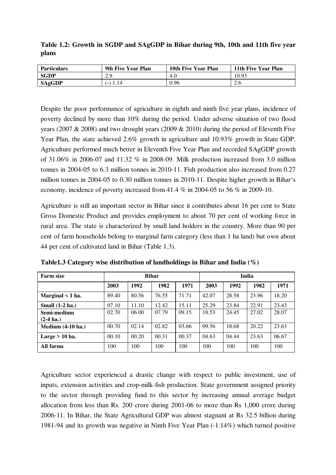**Table 1.2: Growth in SGDP and SAgGDP in Bihar during 9th, 10th and 11th five year plans** 

| <b>Particulars</b> | 9th Five Year Plan | 10th Five Year Plan | 11th Five Year Plan |
|--------------------|--------------------|---------------------|---------------------|
| <b>SGDP</b>        | 2.9                | 4.0                 | 10.93               |
| <b>SAgGDP</b>      | $(-)$ <sup>1</sup> | 0.96                | 2.6                 |

Despite the poor performance of agriculture in eighth and ninth five year plans, incidence of poverty declined by more than 10% during the period. Under adverse situation of two flood years (2007 & 2008) and two drought years (2009 & 2010) during the period of Eleventh Five Year Plan, the state achieved 2.6% growth in agriculture and 10.93% growth in State GDP. Agriculture performed much better in Eleventh Five Year Plan and recorded SAgGDP growth of 31.06% in 2006-07 and 11.32 % in 2008-09. Milk production increased from 3.0 million tonnes in 2004-05 to 6.3 million tonnes in 2010-11. Fish production also increased from 0.27 million tonnes in 2004-05 to 0.30 million tonnes in 2010-11. Despite higher growth in Bihar's economy, incidence of poverty increased from 41.4 % in 2004-05 to 56 % in 2009-10.

Agriculture is still an important sector in Bihar since it contributes about 16 per cent to State Gross Domestic Product and provides employment to about 70 per cent of working force in rural area. The state is characterized by small land holders in the country. More than 90 per cent of farm households belong to marginal farm category (less than 1 ha land) but own about 44 per cent of cultivated land in Bihar (Table 1.3).

| <b>Farm size</b>      | <b>Bihar</b> |       |       | India |       |       |       |       |
|-----------------------|--------------|-------|-------|-------|-------|-------|-------|-------|
|                       | 2003         | 1992  | 1982  | 1971  | 2003  | 1992  | 1982  | 1971  |
| Marginal $\leq 1$ ha. | 89.40        | 80.56 | 76.55 | 71.71 | 42.07 | 28.58 | 23.96 | 18.20 |
| Small $(1-2)$ ha.)    | 07.10        | 11.10 | 12.42 | 15.11 | 25.29 | 23.84 | 22.91 | 23.43 |
| Semi-medium           | 02.70        | 06.00 | 07.79 | 09.15 | 18.53 | 24.45 | 27.02 | 28.07 |
| $(2-4)$ ha.)          |              |       |       |       |       |       |       |       |
| Medium $(4-10$ ha.)   | 00.70        | 02.14 | 02.82 | 03.66 | 09.56 | 18.68 | 20.22 | 23.63 |
| Large $> 10$ ha.      | 00.10        | 00.20 | 00.31 | 00.37 | 04.63 | 04.44 | 23.63 | 06.67 |
| All farms             | 100          | 100   | 100   | 100   | 100   | 100   | 100   | 100   |

**Table1.3 Category wise distribution of landholdings in Bihar and India (%)** 

Agriculture sector experienced a drastic change with respect to public investment, use of inputs, extension activities and crop-milk-fish production. State government assigned priority to the sector through providing fund to this sector by increasing annual average budget allocation from less than Rs. 200 crore during 2001-06 to more than Rs 1,000 crore during 2006-11. In Bihar, the State Agricultural GDP was almost stagnant at Rs 32.5 billion during 1981-94 and its growth was negative in Ninth Five Year Plan (-1.14%) which turned positive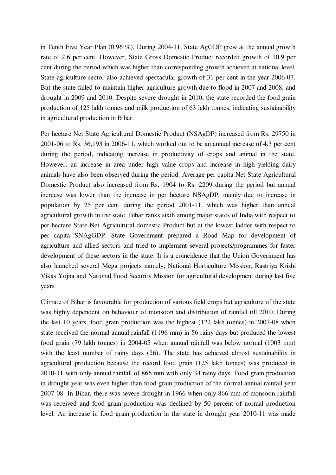in Tenth Five Year Plan (0.96 %). During 2004-11, State AgGDP grew at the annual growth rate of 2.6 per cent. However, State Gross Domestic Product recorded growth of 10.9 per cent during the period which was higher than corresponding growth achieved at national level. State agriculture sector also achieved spectacular growth of 31 per cent in the year 2006-07. But the state failed to maintain higher agriculture growth due to flood in 2007 and 2008, and drought in 2009 and 2010. Despite severe drought in 2010, the state recorded the food grain production of 125 lakh tonnes and milk production of 63 lakh tonnes, indicating sustainability in agricultural production in Bihar.

Per hectare Net State Agricultural Domestic Product (NSAgDP) increased from Rs. 29750 in 2001-06 to Rs. 36,193 in 2006-11, which worked out to be an annual increase of 4.3 per cent during the period, indicating increase in productivity of crops and animal in the state. However, an increase in area under high value crops and increase in high yielding dairy animals have also been observed during the period. Average per capita Net State Agricultural Domestic Product also increased from Rs. 1904 to Rs. 2209 during the period but annual increase was lower than the increase in per hectare NSAgDP, mainly due to increase in population by 25 per cent during the period 2001-11, which was higher than annual agricultural growth in the state. Bihar ranks sixth among major states of India with respect to per hectare State Net Agricultural domestic Product but at the lowest ladder with respect to per capita SNAgGDP. State Government prepared a Road Map for development of agriculture and allied sectors and tried to implement several projects/programmes for faster development of these sectors in the state. It is a coincidence that the Union Government has also launched several Mega projects namely; National Horticulture Mission, Rastriya Krishi Vikas Yojna and National Food Security Mission for agricultural development during last five years

Climate of Bihar is favourable for production of various field crops but agriculture of the state was highly dependent on behaviour of monsoon and distribution of rainfall till 2010. During the last 10 years, food grain production was the highest (122 lakh tonnes) in 2007-08 when state received the normal annual rainfall (1196 mm) in 56 rainy days but produced the lowest food grain (79 lakh tonnes) in 2004-05 when annual rainfall was below normal (1003 mm) with the least number of rainy days (26). The state has achieved almost sustainability in agricultural production because the record food grain (125 lakh tonnes) was produced in 2010-11 with only annual rainfall of 866 mm with only 34 rainy days. Food grain production in drought year was even higher than food grain production of the normal annual rainfall year 2007-08. In Bihar, there was severe drought in 1966 when only 866 mm of monsoon rainfall was received and food grain production was declined by 50 percent of normal production level. An increase in food grain production in the state in drought year 2010-11 was made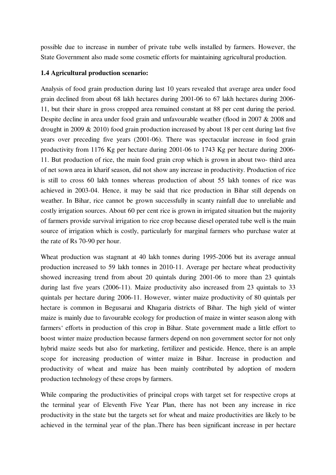possible due to increase in number of private tube wells installed by farmers. However, the State Government also made some cosmetic efforts for maintaining agricultural production.

### **1.4 Agricultural production scenario:**

Analysis of food grain production during last 10 years revealed that average area under food grain declined from about 68 lakh hectares during 2001-06 to 67 lakh hectares during 2006- 11, but their share in gross cropped area remained constant at 88 per cent during the period. Despite decline in area under food grain and unfavourable weather (flood in 2007 & 2008 and drought in 2009 & 2010) food grain production increased by about 18 per cent during last five years over preceding five years (2001-06). There was spectacular increase in food grain productivity from 1176 Kg per hectare during 2001-06 to 1743 Kg per hectare during 2006- 11. But production of rice, the main food grain crop which is grown in about two- third area of net sown area in kharif season, did not show any increase in productivity. Production of rice is still to cross 60 lakh tonnes whereas production of about 55 lakh tonnes of rice was achieved in 2003-04. Hence, it may be said that rice production in Bihar still depends on weather. In Bihar, rice cannot be grown successfully in scanty rainfall due to unreliable and costly irrigation sources. About 60 per cent rice is grown in irrigated situation but the majority of farmers provide survival irrigation to rice crop because diesel operated tube well is the main source of irrigation which is costly, particularly for marginal farmers who purchase water at the rate of Rs 70-90 per hour.

Wheat production was stagnant at 40 lakh tonnes during 1995-2006 but its average annual production increased to 59 lakh tonnes in 2010-11. Average per hectare wheat productivity showed increasing trend from about 20 quintals during 2001-06 to more than 23 quintals during last five years (2006-11). Maize productivity also increased from 23 quintals to 33 quintals per hectare during 2006-11. However, winter maize productivity of 80 quintals per hectare is common in Begusarai and Khagaria districts of Bihar. The high yield of winter maize is mainly due to favourable ecology for production of maize in winter season along with farmers' efforts in production of this crop in Bihar. State government made a little effort to boost winter maize production because farmers depend on non government sector for not only hybrid maize seeds but also for marketing, fertilizer and pesticide. Hence, there is an ample scope for increasing production of winter maize in Bihar. Increase in production and productivity of wheat and maize has been mainly contributed by adoption of modern production technology of these crops by farmers.

While comparing the productivities of principal crops with target set for respective crops at the terminal year of Eleventh Five Year Plan, there has not been any increase in rice productivity in the state but the targets set for wheat and maize productivities are likely to be achieved in the terminal year of the plan..There has been significant increase in per hectare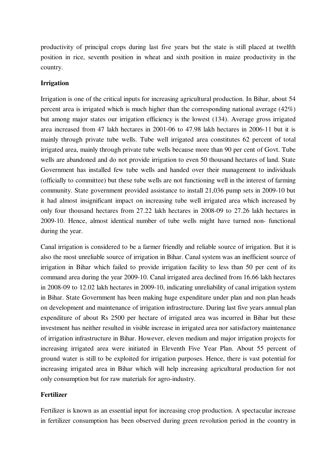productivity of principal crops during last five years but the state is still placed at twelfth position in rice, seventh position in wheat and sixth position in maize productivity in the country.

#### **Irrigation**

Irrigation is one of the critical inputs for increasing agricultural production. In Bihar, about 54 percent area is irrigated which is much higher than the corresponding national average (42%) but among major states our irrigation efficiency is the lowest (134). Average gross irrigated area increased from 47 lakh hectares in 2001-06 to 47.98 lakh hectares in 2006-11 but it is mainly through private tube wells. Tube well irrigated area constitutes 62 percent of total irrigated area, mainly through private tube wells because more than 90 per cent of Govt. Tube wells are abandoned and do not provide irrigation to even 50 thousand hectares of land. State Government has installed few tube wells and handed over their management to individuals (officially to committee) but these tube wells are not functioning well in the interest of farming community. State government provided assistance to install 21,036 pump sets in 2009-10 but it had almost insignificant impact on increasing tube well irrigated area which increased by only four thousand hectares from 27.22 lakh hectares in 2008-09 to 27.26 lakh hectares in 2009-10. Hence, almost identical number of tube wells might have turned non- functional during the year.

Canal irrigation is considered to be a farmer friendly and reliable source of irrigation. But it is also the most unreliable source of irrigation in Bihar. Canal system was an inefficient source of irrigation in Bihar which failed to provide irrigation facility to less than 50 per cent of its command area during the year 2009-10. Canal irrigated area declined from 16.66 lakh hectares in 2008-09 to 12.02 lakh hectares in 2009-10, indicating unreliability of canal irrigation system in Bihar. State Government has been making huge expenditure under plan and non plan heads on development and maintenance of irrigation infrastructure. During last five years annual plan expenditure of about Rs 2500 per hectare of irrigated area was incurred in Bihar but these investment has neither resulted in visible increase in irrigated area nor satisfactory maintenance of irrigation infrastructure in Bihar. However, eleven medium and major irrigation projects for increasing irrigated area were initiated in Eleventh Five Year Plan. About 55 percent of ground water is still to be exploited for irrigation purposes. Hence, there is vast potential for increasing irrigated area in Bihar which will help increasing agricultural production for not only consumption but for raw materials for agro-industry.

### **Fertilizer**

Fertilizer is known as an essential input for increasing crop production. A spectacular increase in fertilizer consumption has been observed during green revolution period in the country in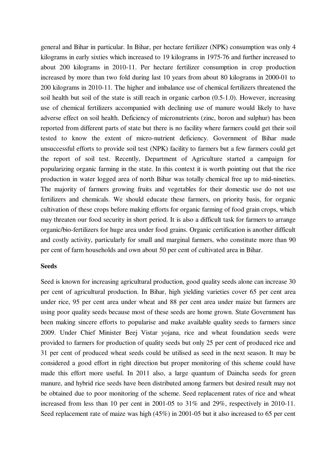general and Bihar in particular. In Bihar, per hectare fertilizer (NPK) consumption was only 4 kilograms in early sixties which increased to 19 kilograms in 1975-76 and further increased to about 200 kilograms in 2010-11. Per hectare fertilizer consumption in crop production increased by more than two fold during last 10 years from about 80 kilograms in 2000-01 to 200 kilograms in 2010-11. The higher and imbalance use of chemical fertilizers threatened the soil health but soil of the state is still reach in organic carbon (0.5-1.0). However, increasing use of chemical fertilizers accompanied with declining use of manure would likely to have adverse effect on soil health. Deficiency of micronutrients (zinc, boron and sulphur) has been reported from different parts of state but there is no facility where farmers could get their soil tested to know the extent of micro-nutrient deficiency. Government of Bihar made unsuccessful efforts to provide soil test (NPK) facility to farmers but a few farmers could get the report of soil test. Recently, Department of Agriculture started a campaign for popularizing organic farming in the state. In this context it is worth pointing out that the rice production in water logged area of north Bihar was totally chemical free up to mid-nineties. The majority of farmers growing fruits and vegetables for their domestic use do not use fertilizers and chemicals. We should educate these farmers, on priority basis, for organic cultivation of these crops before making efforts for organic farming of food grain crops, which may threaten our food security in short period. It is also a difficult task for farmers to arrange organic/bio-fertilizers for huge area under food grains. Organic certification is another difficult and costly activity, particularly for small and marginal farmers, who constitute more than 90 per cent of farm households and own about 50 per cent of cultivated area in Bihar.

#### **Seeds**

Seed is known for increasing agricultural production, good quality seeds alone can increase 30 per cent of agricultural production. In Bihar, high yielding varieties cover 65 per cent area under rice, 95 per cent area under wheat and 88 per cent area under maize but farmers are using poor quality seeds because most of these seeds are home grown. State Government has been making sincere efforts to popularise and make available quality seeds to farmers since 2009. Under Chief Minister Beej Vistar yojana, rice and wheat foundation seeds were provided to farmers for production of quality seeds but only 25 per cent of produced rice and 31 per cent of produced wheat seeds could be utilised as seed in the next season. It may be considered a good effort in right direction but proper monitoring of this scheme could have made this effort more useful. In 2011 also, a large quantum of Daincha seeds for green manure, and hybrid rice seeds have been distributed among farmers but desired result may not be obtained due to poor monitoring of the scheme. Seed replacement rates of rice and wheat increased from less than 10 per cent in 2001-05 to 31% and 29%, respectively in 2010-11. Seed replacement rate of maize was high (45%) in 2001-05 but it also increased to 65 per cent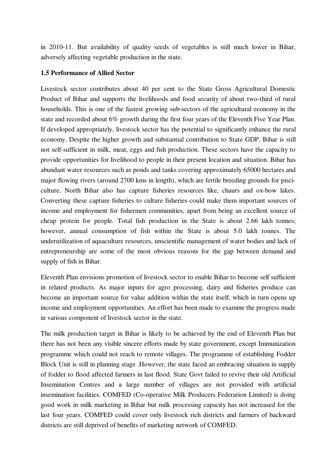in 2010-11. But availability of quality seeds of vegetables is still much lower in Bihar, adversely affecting vegetable production in the state.

#### **1.5 Performance of Allied Sector**

Livestock sector contributes about 40 per cent to the State Gross Agricultural Domestic Product of Bihar and supports the livelihoods and food security of about two-third of rural households. This is one of the fastest growing sub-sectors of the agricultural economy in the state and recorded about 6% growth during the first four years of the Eleventh Five Year Plan. If developed appropriately, livestock sector has the potential to significantly enhance the rural economy. Despite the higher growth and substantial contribution to State GDP, Bihar is still not self-sufficient in milk, meat, eggs and fish production. These sectors have the capacity to provide opportunities for livelihood to people in their present location and situation. Bihar has abundant water resources such as ponds and tanks covering approximately 65000 hectares and major flowing rivers (around 2700 kms in length), which are fertile breeding grounds for pisciculture. North Bihar also has capture fisheries resources like, chaurs and ox-bow lakes. Converting these capture fisheries to culture fisheries could make them important sources of income and employment for fishermen communities, apart from being an excellent source of cheap protein for people. Total fish production in the State is about 2.66 lakh tonnes; however, annual consumption of fish within the State is about 5.0 lakh tonnes. The underutilization of aquaculture resources, unscientific management of water bodies and lack of entrepreneurship are some of the most obvious reasons for the gap between demand and supply of fish in Bihar.

Eleventh Plan envisions promotion of livestock sector to enable Bihar to become self sufficient in related products. As major inputs for agro processing, dairy and fisheries produce can become an important source for value addition within the state itself, which in turn opens up income and employment opportunities. An effort has been made to examine the progress made in various component of livestock sector in the state.

The milk production target in Bihar is likely to be achieved by the end of Eleventh Plan but there has not been any visible sincere efforts made by state government, except Immunization programme which could not reach to remote villages. The programme of establishing Fodder Block Unit is still in planning stage .However, the state faced an embracing situation in supply of fodder to flood affected farmers in last flood. State Govt failed to revive their old Artificial Insemination Centres and a large number of villages are not provided with artificial insemination facilities. COMFED (Co-operative Milk Producers Federation Limited) is doing good work in milk marketing in Bihar but milk processing capacity has not increased for the last four years. COMFED could cover only livestock rich districts and farmers of backward districts are still deprived of benefits of marketing network of COMFED.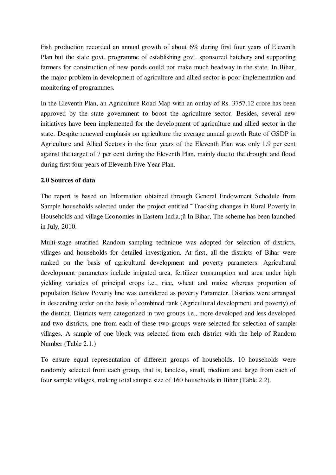Fish production recorded an annual growth of about 6% during first four years of Eleventh Plan but the state govt. programme of establishing govt. sponsored hatchery and supporting farmers for construction of new ponds could not make much headway in the state. In Bihar, the major problem in development of agriculture and allied sector is poor implementation and monitoring of programmes.

In the Eleventh Plan, an Agriculture Road Map with an outlay of Rs. 3757.12 crore has been approved by the state government to boost the agriculture sector. Besides, several new initiatives have been implemented for the development of agriculture and allied sector in the state. Despite renewed emphasis on agriculture the average annual growth Rate of GSDP in Agriculture and Allied Sectors in the four years of the Eleventh Plan was only 1.9 per cent against the target of 7 per cent during the Eleventh Plan, mainly due to the drought and flood during first four years of Eleventh Five Year Plan.

#### **2.0 Sources of data**

The report is based on Information obtained through General Endowment Schedule from Sample households selected under the project entitled <sup>-</sup> Tracking changes in Rural Poverty in Households and village Economies in Eastern India.¡ü In Bihar, The scheme has been launched in July, 2010.

Multi-stage stratified Random sampling technique was adopted for selection of districts, villages and households for detailed investigation. At first, all the districts of Bihar were ranked on the basis of agricultural development and poverty parameters. Agricultural development parameters include irrigated area, fertilizer consumption and area under high yielding varieties of principal crops i.e., rice, wheat and maize whereas proportion of population Below Poverty line was considered as poverty Parameter. Districts were arranged in descending order on the basis of combined rank (Agricultural development and poverty) of the district. Districts were categorized in two groups i.e., more developed and less developed and two districts, one from each of these two groups were selected for selection of sample villages. A sample of one block was selected from each district with the help of Random Number (Table 2.1.)

To ensure equal representation of different groups of households, 10 households were randomly selected from each group, that is; landless, small, medium and large from each of four sample villages, making total sample size of 160 households in Bihar (Table 2.2).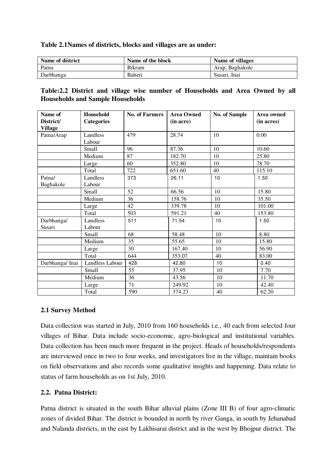#### **Table 2.1Names of districts, blocks and villages are as under:**

| Name of district | Name of the block | Name of villages |
|------------------|-------------------|------------------|
| Patna            | <b>Bikram</b>     | Arap, Baghakole  |
| Darbhanga        | Baheri            | Susari. Inai     |

#### **Table:2.2 District and village wise number of Households and Area Owned by all Households and Sample Households**

| Name of<br>District/ | <b>Household</b><br><b>Categories</b> | <b>No. of Farmers</b> | <b>Area Owned</b><br>(in acre) | <b>No. of Sample</b> | Area owned<br>(in acres) |
|----------------------|---------------------------------------|-----------------------|--------------------------------|----------------------|--------------------------|
| <b>Village</b>       |                                       |                       |                                |                      |                          |
| Patna/Arap           | Landless                              | 479                   | 28.74                          | 10                   | 0.00                     |
|                      | Labour                                |                       |                                |                      |                          |
|                      | Small                                 | 96                    | 87.36                          | 10                   | 10.60                    |
|                      | Medium                                | 87                    | 182.70                         | 10                   | 25.80                    |
|                      | Large                                 | 60                    | 352.80                         | 10                   | 78.70                    |
|                      | Total                                 | 722                   | 651.60                         | 40                   | 115.10                   |
| Patna/               | Landless                              | 373                   | 26.11                          | 10                   | 1.50                     |
| Baghakole            | Labour                                |                       |                                |                      |                          |
|                      | Small                                 | 52                    | 66.56                          | 10                   | 15.80                    |
|                      | Medium                                | 36                    | 158.76                         | 10                   | 35.50                    |
|                      | Large                                 | 42                    | 339.78                         | 10                   | 101.00                   |
|                      | Total                                 | 503                   | 591.21                         | 40                   | 153.80                   |
| Darbhanga/           | Landless                              | 511                   | 71.54                          | 10                   | 1.50                     |
| Susari               | Labour                                |                       |                                |                      |                          |
|                      | Small                                 | 68                    | 58.48                          | 10                   | 8.80                     |
|                      | Medium                                | 35                    | 55.65                          | 10                   | 15.80                    |
|                      | Large                                 | 30                    | 167.40                         | 10                   | 56.90                    |
|                      | Total                                 | 644                   | 353.07                         | 40                   | 83.00                    |
| Darbhanga/Inai       | Landless Labour                       | 428                   | 42.80                          | 10                   | 0.40                     |
|                      | Small                                 | 55                    | 37.95                          | 10                   | 7.70                     |
|                      | Medium                                | 36                    | 43.56                          | 10                   | 11.70                    |
|                      | Large                                 | 71                    | 249.92                         | 10                   | 42.40                    |
|                      | Total                                 | 590                   | 374.23                         | 40                   | 62.20                    |

#### **2.1 Survey Method**

Data collection was started in July, 2010 from 160 households i.e., 40 each from selected four villages of Bihar. Data include socio-economic, agro-biological and institutional variables. Data collection has been much more frequent in the project. Heads of households/respondents are interviewed once in two to four weeks, and investigators live in the village, maintain books on field observations and also records some qualitative insights and happening. Data relate to status of farm households as on 1st July, 2010.

### **2.2. Patna District:**

Patna district is situated in the south Bihar alluvial plains (Zone III B) of four agro-climatic zones of divided Bihar. The district is bounded in north by river Ganga, in south by Jehanabad and Nalanda districts, in the east by Lakhisarai district and in the west by Bhojpur district. The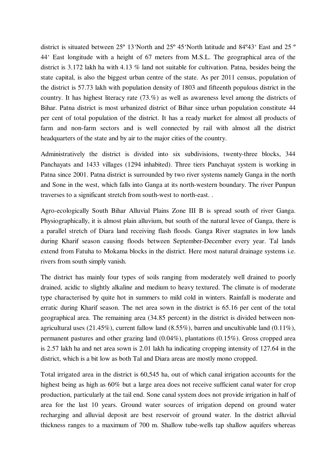district is situated between 25º 13'North and 25º 45'North latitude and 84º43' East and 25 º 44' East longitude with a height of 67 meters from M.S.L. The geographical area of the district is 3.172 lakh ha with 4.13 % land not suitable for cultivation. Patna, besides being the state capital, is also the biggest urban centre of the state. As per 2011 census, population of the district is 57.73 lakh with population density of 1803 and fifteenth populous district in the country. It has highest literacy rate (73.%) as well as awareness level among the districts of Bihar. Patna district is most urbanized district of Bihar since urban population constitute 44 per cent of total population of the district. It has a ready market for almost all products of farm and non-farm sectors and is well connected by rail with almost all the district headquarters of the state and by air to the major cities of the country.

Administratively the district is divided into six subdivisions, twenty-three blocks, 344 Panchayats and 1433 villages (1294 inhabited). Three tiers Panchayat system is working in Patna since 2001. Patna district is surrounded by two river systems namely Ganga in the north and Sone in the west, which falls into Ganga at its north-western boundary. The river Punpun traverses to a significant stretch from south-west to north-east. .

Agro-ecologically South Bihar Alluvial Plains Zone III B is spread south of river Ganga. Physiographically, it is almost plain alluvium, but south of the natural levee of Ganga, there is a parallel stretch of Diara land receiving flash floods. Ganga River stagnates in low lands during Kharif season causing floods between September-December every year. Tal lands extend from Fatuha to Mokama blocks in the district. Here most natural drainage systems i.e. rivers from south simply vanish.

The district has mainly four types of soils ranging from moderately well drained to poorly drained, acidic to slightly alkaline and medium to heavy textured. The climate is of moderate type characterised by quite hot in summers to mild cold in winters. Rainfall is moderate and erratic during Kharif season. The net area sown in the district is 65.16 per cent of the total geographical area. The remaining area (34.85 percent) in the district is divided between nonagricultural uses (21.45%), current fallow land (8.55%), barren and uncultivable land (0.11%), permanent pastures and other grazing land (0.04%), plantations (0.15%). Gross cropped area is 2.57 lakh ha and net area sown is 2.01 lakh ha indicating cropping intensity of 127.64 in the district, which is a bit low as both Tal and Diara areas are mostly mono cropped.

Total irrigated area in the district is 60,545 ha, out of which canal irrigation accounts for the highest being as high as  $60\%$  but a large area does not receive sufficient canal water for crop production, particularly at the tail end. Sone canal system does not provide irrigation in half of area for the last 10 years. Ground water sources of irrigation depend on ground water recharging and alluvial deposit are best reservoir of ground water. In the district alluvial thickness ranges to a maximum of 700 m. Shallow tube-wells tap shallow aquifers whereas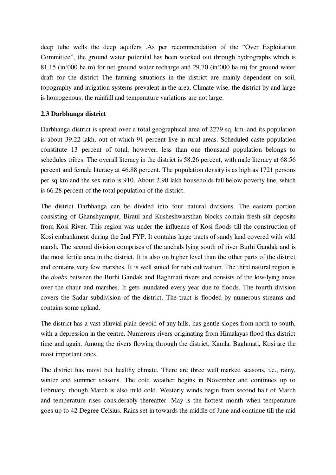deep tube wells the deep aquifers .As per recommendation of the "Over Exploitation Committee", the ground water potential has been worked out through hydrographs which is 81.15 (in'000 ha m) for net ground water recharge and 29.70 (in'000 ha m) for ground water draft for the district The farming situations in the district are mainly dependent on soil, topography and irrigation systems prevalent in the area. Climate-wise, the district by and large is homogenous; the rainfall and temperature variations are not large.

### **2.3 Darbhanga district**

Darbhanga district is spread over a total geographical area of 2279 sq. km. and its population is about 39.22 lakh, out of which 91 percent live in rural areas. Scheduled caste population constitute 13 percent of total, however, less than one thousand population belongs to schedules tribes. The overall literacy in the district is 58.26 percent, with male literacy at 68.56 percent and female literacy at 46.88 percent. The population density is as high as 1721 persons per sq km and the sex ratio is 910. About 2.90 lakh households fall below poverty line, which is 66.28 percent of the total population of the district.

The district Darbhanga can be divided into four natural divisions. The eastern portion consisting of Ghanshyampur, Biraul and Kusheshwarsthan blocks contain fresh silt deposits from Kosi River. This region was under the influence of Kosi floods till the construction of Kosi embankment during the 2nd FYP. It contains large tracts of sandy land covered with wild marsh. The second division comprises of the anchals lying south of river Burhi Gandak and is the most fertile area in the district. It is also on higher level than the other parts of the district and contains very few marshes. It is well suited for rabi cultivation. The third natural region is the *doabs* between the Burhi Gandak and Baghmati rivers and consists of the low-lying areas over the chaur and marshes. It gets inundated every year due to floods. The fourth division covers the Sadar subdivision of the district. The tract is flooded by numerous streams and contains some upland.

The district has a vast alluvial plain devoid of any hills, has gentle slopes from north to south, with a depression in the centre. Numerous rivers originating from Himalayas flood this district time and again. Among the rivers flowing through the district, Kamla, Baghmati, Kosi are the most important ones.

The district has moist but healthy climate. There are three well marked seasons, i.e., rainy, winter and summer seasons. The cold weather begins in November and continues up to February, though March is also mild cold. Westerly winds begin from second half of March and temperature rises considerably thereafter. May is the hottest month when temperature goes up to 42 Degree Celsius. Rains set in towards the middle of June and continue till the mid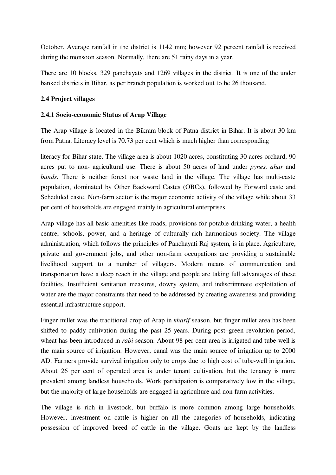October. Average rainfall in the district is 1142 mm; however 92 percent rainfall is received during the monsoon season. Normally, there are 51 rainy days in a year.

There are 10 blocks, 329 panchayats and 1269 villages in the district. It is one of the under banked districts in Bihar, as per branch population is worked out to be 26 thousand.

### **2.4 Project villages**

### **2.4.1 Socio-economic Status of Arap Village**

The Arap village is located in the Bikram block of Patna district in Bihar. It is about 30 km from Patna. Literacy level is 70.73 per cent which is much higher than corresponding

literacy for Bihar state. The village area is about 1020 acres, constituting 30 acres orchard, 90 acres put to non- agricultural use. There is about 50 acres of land under *pynes, ahar* and *bunds*. There is neither forest nor waste land in the village. The village has multi-caste population, dominated by Other Backward Castes (OBCs), followed by Forward caste and Scheduled caste. Non-farm sector is the major economic activity of the village while about 33 per cent of households are engaged mainly in agricultural enterprises.

Arap village has all basic amenities like roads, provisions for potable drinking water, a health centre, schools, power, and a heritage of culturally rich harmonious society. The village administration, which follows the principles of Panchayati Raj system, is in place. Agriculture, private and government jobs, and other non-farm occupations are providing a sustainable livelihood support to a number of villagers. Modern means of communication and transportation have a deep reach in the village and people are taking full advantages of these facilities. Insufficient sanitation measures, dowry system, and indiscriminate exploitation of water are the major constraints that need to be addressed by creating awareness and providing essential infrastructure support.

Finger millet was the traditional crop of Arap in *kharif* season, but finger millet area has been shifted to paddy cultivation during the past 25 years. During post–green revolution period, wheat has been introduced in *rabi* season. About 98 per cent area is irrigated and tube-well is the main source of irrigation. However, canal was the main source of irrigation up to 2000 AD. Farmers provide survival irrigation only to crops due to high cost of tube-well irrigation. About 26 per cent of operated area is under tenant cultivation, but the tenancy is more prevalent among landless households. Work participation is comparatively low in the village, but the majority of large households are engaged in agriculture and non-farm activities.

The village is rich in livestock, but buffalo is more common among large households. However, investment on cattle is higher on all the categories of households, indicating possession of improved breed of cattle in the village. Goats are kept by the landless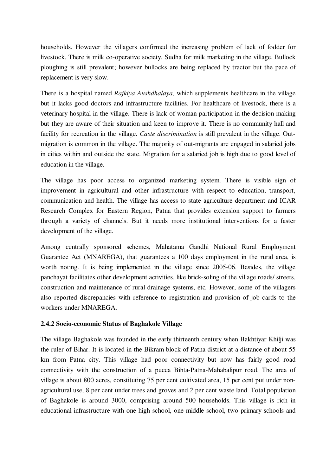households. However the villagers confirmed the increasing problem of lack of fodder for livestock. There is milk co-operative society, Sudha for milk marketing in the village. Bullock ploughing is still prevalent; however bullocks are being replaced by tractor but the pace of replacement is very slow.

There is a hospital named *Rajkiya Aushdhalaya,* which supplements healthcare in the village but it lacks good doctors and infrastructure facilities. For healthcare of livestock, there is a veterinary hospital in the village. There is lack of woman participation in the decision making but they are aware of their situation and keen to improve it. There is no community hall and facility for recreation in the village. *Caste discrimination* is still prevalent in the village. Outmigration is common in the village. The majority of out-migrants are engaged in salaried jobs in cities within and outside the state. Migration for a salaried job is high due to good level of education in the village.

The village has poor access to organized marketing system. There is visible sign of improvement in agricultural and other infrastructure with respect to education, transport, communication and health. The village has access to state agriculture department and ICAR Research Complex for Eastern Region, Patna that provides extension support to farmers through a variety of channels. But it needs more institutional interventions for a faster development of the village.

Among centrally sponsored schemes, Mahatama Gandhi National Rural Employment Guarantee Act (MNAREGA), that guarantees a 100 days employment in the rural area, is worth noting. It is being implemented in the village since 2005-06. Besides, the village panchayat facilitates other development activities, like brick-soling of the village roads/ streets, construction and maintenance of rural drainage systems, etc*.* However, some of the villagers also reported discrepancies with reference to registration and provision of job cards to the workers under MNAREGA.

### **2.4.2 Socio-economic Status of Baghakole Village**

The village Baghakole was founded in the early thirteenth century when Bakhtiyar Khilji was the ruler of Bihar. It is located in the Bikram block of Patna district at a distance of about 55 km from Patna city. This village had poor connectivity but now has fairly good road connectivity with the construction of a pucca Bihta-Patna-Mahabalipur road. The area of village is about 800 acres, constituting 75 per cent cultivated area, 15 per cent put under nonagricultural use, 8 per cent under trees and groves and 2 per cent waste land. Total population of Baghakole is around 3000, comprising around 500 households. This village is rich in educational infrastructure with one high school, one middle school, two primary schools and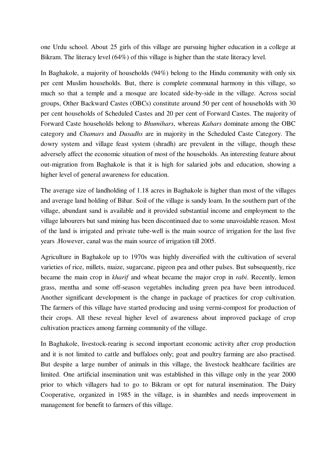one Urdu school. About 25 girls of this village are pursuing higher education in a college at Bikram. The literacy level (64%) of this village is higher than the state literacy level.

In Baghakole, a majority of households (94%) belong to the Hindu community with only six per cent Muslim households. But, there is complete communal harmony in this village, so much so that a temple and a mosque are located side-by-side in the village. Across social groups, Other Backward Castes (OBCs) constitute around 50 per cent of households with 30 per cent households of Scheduled Castes and 20 per cent of Forward Castes. The majority of Forward Caste households belong to *Bhumihars*, whereas *Kahars* dominate among the OBC category and *Chamars* and *Dusadhs* are in majority in the Scheduled Caste Category. The dowry system and village feast system (shradh) are prevalent in the village, though these adversely affect the economic situation of most of the households. An interesting feature about out-migration from Baghakole is that it is high for salaried jobs and education, showing a higher level of general awareness for education.

The average size of landholding of 1.18 acres in Baghakole is higher than most of the villages and average land holding of Bihar. Soil of the village is sandy loam. In the southern part of the village, abundant sand is available and it provided substantial income and employment to the village labourers but sand mining has been discontinued due to some unavoidable reason. Most of the land is irrigated and private tube-well is the main source of irrigation for the last five years .However, canal was the main source of irrigation till 2005.

Agriculture in Baghakole up to 1970s was highly diversified with the cultivation of several varieties of rice, millets, maize, sugarcane, pigeon pea and other pulses. But subsequently, rice became the main crop in *kharif* and wheat became the major crop in *rabi*. Recently, lemon grass, mentha and some off-season vegetables including green pea have been introduced. Another significant development is the change in package of practices for crop cultivation. The farmers of this village have started producing and using vermi-compost for production of their crops. All these reveal higher level of awareness about improved package of crop cultivation practices among farming community of the village.

In Baghakole, livestock-rearing is second important economic activity after crop production and it is not limited to cattle and buffaloes only; goat and poultry farming are also practised. But despite a large number of animals in this village, the livestock healthcare facilities are limited. One artificial insemination unit was established in this village only in the year 2000 prior to which villagers had to go to Bikram or opt for natural insemination. The Dairy Cooperative, organized in 1985 in the village, is in shambles and needs improvement in management for benefit to farmers of this village.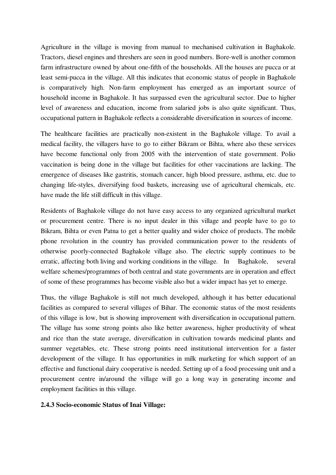Agriculture in the village is moving from manual to mechanised cultivation in Baghakole. Tractors, diesel engines and threshers are seen in good numbers. Bore-well is another common farm infrastructure owned by about one-fifth of the households. All the houses are pucca or at least semi-pucca in the village. All this indicates that economic status of people in Baghakole is comparatively high. Non-farm employment has emerged as an important source of household income in Baghakole. It has surpassed even the agricultural sector. Due to higher level of awareness and education, income from salaried jobs is also quite significant. Thus, occupational pattern in Baghakole reflects a considerable diversification in sources of income.

The healthcare facilities are practically non-existent in the Baghakole village. To avail a medical facility, the villagers have to go to either Bikram or Bihta, where also these services have become functional only from 2005 with the intervention of state government. Polio vaccination is being done in the village but facilities for other vaccinations are lacking. The emergence of diseases like gastritis, stomach cancer, high blood pressure, asthma, etc. due to changing life-styles, diversifying food baskets, increasing use of agricultural chemicals, etc. have made the life still difficult in this village.

Residents of Baghakole village do not have easy access to any organized agricultural market or procurement centre. There is no input dealer in this village and people have to go to Bikram, Bihta or even Patna to get a better quality and wider choice of products. The mobile phone revolution in the country has provided communication power to the residents of otherwise poorly-connected Baghakole village also. The electric supply continues to be erratic, affecting both living and working conditions in the village. In Baghakole, several welfare schemes/programmes of both central and state governments are in operation and effect of some of these programmes has become visible also but a wider impact has yet to emerge.

Thus, the village Baghakole is still not much developed, although it has better educational facilities as compared to several villages of Bihar. The economic status of the most residents of this village is low, but is showing improvement with diversification in occupational pattern. The village has some strong points also like better awareness, higher productivity of wheat and rice than the state average, diversification in cultivation towards medicinal plants and summer vegetables, etc. These strong points need institutional intervention for a faster development of the village. It has opportunities in milk marketing for which support of an effective and functional dairy cooperative is needed. Setting up of a food processing unit and a procurement centre in/around the village will go a long way in generating income and employment facilities in this village.

#### **2.4.3 Socio-economic Status of Inai Village:**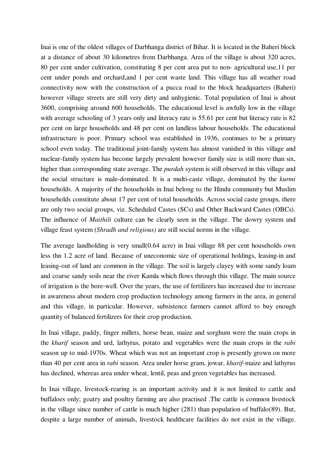Inai is one of the oldest villages of Darbhanga district of Bihar. It is located in the Baheri block at a distance of about 30 kilometres from Darbhanga. Area of the village is about 320 acres, 80 per cent under cultivation, constituting 8 per cent area put to non- agricultural use,11 per cent under ponds and orchard,and 1 per cent waste land. This village has all weather road connectivity now with the construction of a pucca road to the block headquarters (Baheri) however village streets are still very dirty and unhygienic. Total population of Inai is about 3600, comprising around 600 households. The educational level is awfully low in the village with average schooling of 3 years only and literacy rate is 55.61 per cent but literacy rate is 82 per cent on large households and 48 per cent on landless labour households. The educational infrastructure is poor. Primary school was established in 1936, continues to be a primary school even today. The traditional joint-family system has almost vanished in this village and nuclear-family system has become largely prevalent however family size is still more than six, higher than corresponding state average. The *purdah* system is still observed in this village and the social structure is male-dominated. It is a multi-caste village, dominated by the *kurmi* households. A majority of the households in Inai belong to the Hindu community but Muslim households constitute about 17 per cent of total households. Across social caste groups, there are only two social groups, viz. Scheduled Castes (SCs) and Other Backward Castes (OBCs). The influence of *Maithili* culture can be clearly seen in the village. The dowry system and village feast system (*Shradh and religious)* are still social norms in the village.

The average landholding is very small(0.64 acre) in Inai village 88 per cent households own less thn 1.2 acre of land. Because of uneconomic size of operational holdings, leasing-in and leasing-out of land are common in the village. The soil is largely clayey with some sandy loam and coarse sandy soils near the river Kamla which flows through this village. The main source of irrigation is the bore-well. Over the years, the use of fertilizers has increased due to increase in awareness about modern crop production technology among farmers in the area, in general and this village, in particular. However, subsistence farmers cannot afford to buy enough quantity of balanced fertilizers for their crop production.

In Inai village, paddy, finger millets, horse bean, maize and sorghum were the main crops in the *kharif* season and urd, lathyrus, potato and vegetables were the main crops in the *rabi*  season up to mid-1970s. Wheat which was not an important crop is presently grown on more than 40 per cent area in *rabi* season. Area under horse gram, jowar, *kharif-*maize and lathyrus has declined, whereas area under wheat, lentil, peas and green vegetables has increased.

In Inai village, livestock-rearing is an important activity and it is not limited to cattle and buffaloes only; goatry and poultry farming are also practised .The cattle is common livestock in the village since number of cattle is much higher (281) than population of buffalo(89). But, despite a large number of animals, livestock healthcare facilities do not exist in the village.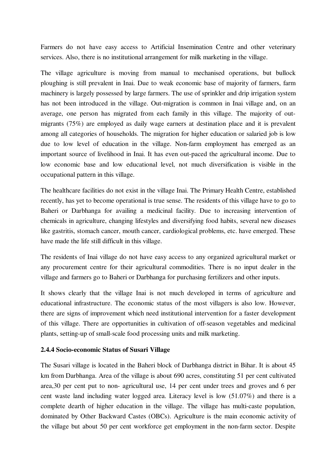Farmers do not have easy access to Artificial Insemination Centre and other veterinary services. Also, there is no institutional arrangement for milk marketing in the village.

The village agriculture is moving from manual to mechanised operations, but bullock ploughing is still prevalent in Inai. Due to weak economic base of majority of farmers, farm machinery is largely possessed by large farmers. The use of sprinkler and drip irrigation system has not been introduced in the village. Out-migration is common in Inai village and, on an average, one person has migrated from each family in this village. The majority of outmigrants (75%) are employed as daily wage earners at destination place and it is prevalent among all categories of households. The migration for higher education or salaried job is low due to low level of education in the village. Non-farm employment has emerged as an important source of livelihood in Inai. It has even out-paced the agricultural income. Due to low economic base and low educational level, not much diversification is visible in the occupational pattern in this village.

The healthcare facilities do not exist in the village Inai. The Primary Health Centre, established recently, has yet to become operational is true sense. The residents of this village have to go to Baheri or Darbhanga for availing a medicinal facility. Due to increasing intervention of chemicals in agriculture, changing lifestyles and diversifying food habits, several new diseases like gastritis, stomach cancer, mouth cancer, cardiological problems, etc. have emerged. These have made the life still difficult in this village.

The residents of Inai village do not have easy access to any organized agricultural market or any procurement centre for their agricultural commodities. There is no input dealer in the village and farmers go to Baheri or Darbhanga for purchasing fertilizers and other inputs.

It shows clearly that the village Inai is not much developed in terms of agriculture and educational infrastructure. The economic status of the most villagers is also low. However, there are signs of improvement which need institutional intervention for a faster development of this village. There are opportunities in cultivation of off-season vegetables and medicinal plants, setting-up of small-scale food processing units and milk marketing.

#### **2.4.4 Socio-economic Status of Susari Village**

The Susari village is located in the Baheri block of Darbhanga district in Bihar. It is about 45 km from Darbhanga. Area of the village is about 690 acres, constituting 51 per cent cultivated area,30 per cent put to non- agricultural use, 14 per cent under trees and groves and 6 per cent waste land including water logged area. Literacy level is low (51.07%) and there is a complete dearth of higher education in the village. The village has multi-caste population, dominated by Other Backward Castes (OBCs). Agriculture is the main economic activity of the village but about 50 per cent workforce get employment in the non-farm sector. Despite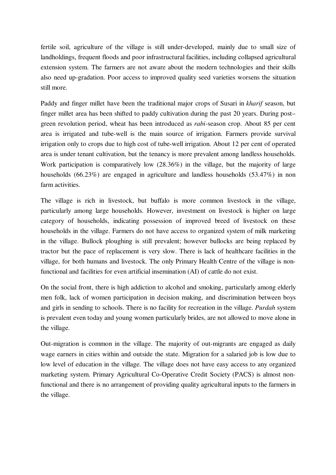fertile soil, agriculture of the village is still under-developed, mainly due to small size of landholdings, frequent floods and poor infrastructural facilities, including collapsed agricultural extension system. The farmers are not aware about the modern technologies and their skills also need up-gradation. Poor access to improved quality seed varieties worsens the situation still more.

Paddy and finger millet have been the traditional major crops of Susari in *kharif* season, but finger millet area has been shifted to paddy cultivation during the past 20 years. During post– green revolution period, wheat has been introduced as *rabi-*season crop. About 85 per cent area is irrigated and tube-well is the main source of irrigation. Farmers provide survival irrigation only to crops due to high cost of tube-well irrigation. About 12 per cent of operated area is under tenant cultivation, but the tenancy is more prevalent among landless households. Work participation is comparatively low (28.36%) in the village, but the majority of large households (66.23%) are engaged in agriculture and landless households (53.47%) in non farm activities.

The village is rich in livestock, but buffalo is more common livestock in the village, particularly among large households. However, investment on livestock is higher on large category of households, indicating possession of improved breed of livestock on these households in the village. Farmers do not have access to organized system of milk marketing in the village. Bullock ploughing is still prevalent; however bullocks are being replaced by tractor but the pace of replacement is very slow. There is lack of healthcare facilities in the village, for both humans and livestock. The only Primary Health Centre of the village is nonfunctional and facilities for even artificial insemination (AI) of cattle do not exist.

On the social front, there is high addiction to alcohol and smoking, particularly among elderly men folk, lack of women participation in decision making, and discrimination between boys and girls in sending to schools. There is no facility for recreation in the village. *Purdah* system is prevalent even today and young women particularly brides, are not allowed to move alone in the village.

Out-migration is common in the village. The majority of out-migrants are engaged as daily wage earners in cities within and outside the state. Migration for a salaried job is low due to low level of education in the village. The village does not have easy access to any organized marketing system. Primary Agricultural Co-Operative Credit Society (PACS) is almost nonfunctional and there is no arrangement of providing quality agricultural inputs to the farmers in the village.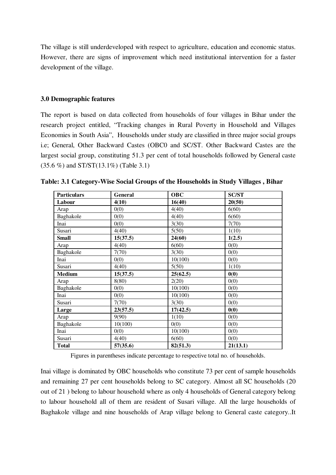The village is still underdeveloped with respect to agriculture, education and economic status. However, there are signs of improvement which need institutional intervention for a faster development of the village.

#### **3.0 Demographic features**

The report is based on data collected from households of four villages in Bihar under the research project entitled, "Tracking changes in Rural Poverty in Household and Villages Economies in South Asia", Households under study are classified in three major social groups i.e; General, Other Backward Castes (OBC0 and SC/ST. Other Backward Castes are the largest social group, constituting 51.3 per cent of total households followed by General caste (35.6 %) and ST/ST(13.1%) (Table 3.1)

| <b>Particulars</b> | General  | <b>OBC</b> | <b>SC/ST</b> |
|--------------------|----------|------------|--------------|
| Labour             | 4(10)    | 16(40)     | 20(50)       |
| Arap               | 0(0)     | 4(40)      | 6(60)        |
| Baghakole          | 0(0)     | 4(40)      | 6(60)        |
| Inai               | 0(0)     | 3(30)      | 7(70)        |
| Susari             | 4(40)    | 5(50)      | 1(10)        |
| <b>Small</b>       | 15(37.5) | 24(60)     | 1(2.5)       |
| Arap               | 4(40)    | 6(60)      | 0(0)         |
| Baghakole          | 7(70)    | 3(30)      | 0(0)         |
| Inai               | 0(0)     | 10(100)    | 0(0)         |
| Susari             | 4(40)    | 5(50)      | 1(10)        |
| <b>Medium</b>      | 15(37.5) | 25(62.5)   | 0(0)         |
| Arap               | 8(80)    | 2(20)      | 0(0)         |
| Baghakole          | 0(0)     | 10(100)    | 0(0)         |
| Inai               | 0(0)     | 10(100)    | 0(0)         |
| Susari             | 7(70)    | 3(30)      | 0(0)         |
| Large              | 23(57.5) | 17(42.5)   | 0(0)         |
| Arap               | 9(90)    | 1(10)      | 0(0)         |
| Baghakole          | 10(100)  | 0(0)       | 0(0)         |
| Inai               | 0(0)     | 10(100)    | 0(0)         |
| Susari             | 4(40)    | 6(60)      | 0(0)         |
| Total              | 57(35.6) | 82(51.3)   | 21(13.1)     |

**Table: 3.1 Category-Wise Social Groups of the Households in Study Villages , Bihar** 

Figures in parentheses indicate percentage to respective total no. of households.

Inai village is dominated by OBC households who constitute 73 per cent of sample households and remaining 27 per cent households belong to SC category. Almost all SC households (20 out of 21 ) belong to labour household where as only 4 households of General category belong to labour household all of them are resident of Susari village. All the large households of Baghakole village and nine households of Arap village belong to General caste category..It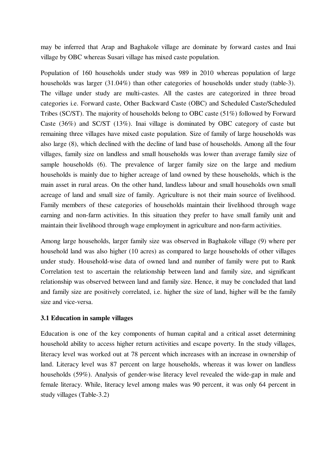may be inferred that Arap and Baghakole village are dominate by forward castes and Inai village by OBC whereas Susari village has mixed caste population.

Population of 160 households under study was 989 in 2010 whereas population of large households was larger (31.04%) than other categories of households under study (table-3). The village under study are multi-castes. All the castes are categorized in three broad categories i.e. Forward caste, Other Backward Caste (OBC) and Scheduled Caste/Scheduled Tribes (SC/ST). The majority of households belong to OBC caste (51%) followed by Forward Caste (36%) and SC/ST (13%). Inai village is dominated by OBC category of caste but remaining three villages have mixed caste population. Size of family of large households was also large (8), which declined with the decline of land base of households. Among all the four villages, family size on landless and small households was lower than average family size of sample households (6). The prevalence of larger family size on the large and medium households is mainly due to higher acreage of land owned by these households, which is the main asset in rural areas. On the other hand, landless labour and small households own small acreage of land and small size of family. Agriculture is not their main source of livelihood. Family members of these categories of households maintain their livelihood through wage earning and non-farm activities. In this situation they prefer to have small family unit and maintain their livelihood through wage employment in agriculture and non-farm activities.

Among large households, larger family size was observed in Baghakole village (9) where per household land was also higher (10 acres) as compared to large households of other villages under study. Household-wise data of owned land and number of family were put to Rank Correlation test to ascertain the relationship between land and family size, and significant relationship was observed between land and family size. Hence, it may be concluded that land and family size are positively correlated, i.e. higher the size of land, higher will be the family size and vice-versa.

### **3.1 Education in sample villages**

Education is one of the key components of human capital and a critical asset determining household ability to access higher return activities and escape poverty. In the study villages, literacy level was worked out at 78 percent which increases with an increase in ownership of land. Literacy level was 87 percent on large households, whereas it was lower on landless households (59%). Analysis of gender-wise literacy level revealed the wide-gap in male and female literacy. While, literacy level among males was 90 percent, it was only 64 percent in study villages (Table-3.2)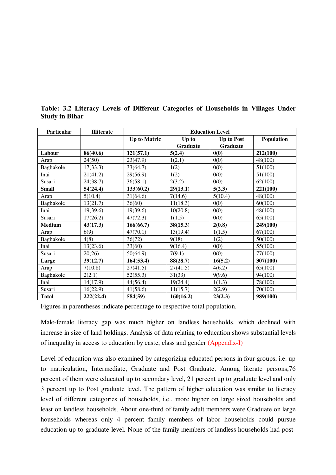| Particular    | <b>Illiterate</b> | <b>Education Level</b> |           |                   |            |  |
|---------------|-------------------|------------------------|-----------|-------------------|------------|--|
|               |                   | <b>Up to Matric</b>    | Up to     | <b>Up to Post</b> | Population |  |
|               |                   |                        | Graduate  | Graduate          |            |  |
| Labour        | 86(40.6)          | 121(57.1)              | 5(2.4)    | 0(0)              | 212(100)   |  |
| Arap          | 24(50)            | 23(47.9)               | 1(2.1)    | 0(0)              | 48(100)    |  |
| Baghakole     | 17(33.3)          | 33(64.7)               | 1(2)      | 0(0)              | 51(100)    |  |
| Inai          | 21(41.2)          | 29(56.9)               | 1(2)      | 0(0)              | 51(100)    |  |
| Susari        | 24(38.7)          | 36(58.1)               | 2(3.2)    | 0(0)              | 62(100)    |  |
| <b>Small</b>  | 54(24.4)          | 133(60.2)              | 29(13.1)  | 5(2.3)            | 221(100)   |  |
| Arap          | 5(10.4)           | 31(64.6)               | 7(14.6)   | 5(10.4)           | 48(100)    |  |
| Baghakole     | 13(21.7)          | 36(60)                 | 11(18.3)  | 0(0)              | 60(100)    |  |
| Inai          | 19(39.6)          | 19(39.6)               | 10(20.8)  | 0(0)              | 48(100)    |  |
| Susari        | 17(26.2)          | 47(72.3)               | 1(1.5)    | 0(0)              | 65(100)    |  |
| <b>Medium</b> | 43(17.3)          | 166(66.7)              | 38(15.3)  | 2(0.8)            | 249(100)   |  |
| Arap          | 6(9)              | 47(70.1)               | 13(19.4)  | 1(1.5)            | 67(100)    |  |
| Baghakole     | 4(8)              | 36(72)                 | 9(18)     | 1(2)              | 50(100)    |  |
| Inai          | 13(23.6)          | 33(60)                 | 9(16.4)   | 0(0)              | 55(100)    |  |
| Susari        | 20(26)            | 50(64.9)               | 7(9.1)    | 0(0)              | 77(100)    |  |
| Large         | 39(12.7)          | 164(53.4)              | 88(28.7)  | 16(5.2)           | 307(100)   |  |
| Arap          | 7(10.8)           | 27(41.5)               | 27(41.5)  | 4(6.2)            | 65(100)    |  |
| Baghakole     | 2(2.1)            | 52(55.3)               | 31(33)    | 9(9.6)            | 94(100)    |  |
| Inai          | 14(17.9)          | 44(56.4)               | 19(24.4)  | 1(1.3)            | 78(100)    |  |
| Susari        | 16(22.9)          | 41(58.6)               | 11(15.7)  | 2(2.9)            | 70(100)    |  |
| <b>Total</b>  | 222(22.4)         | 584(59)                | 160(16.2) | 23(2.3)           | 989(100)   |  |

**Table: 3.2 Literacy Levels of Different Categories of Households in Villages Under Study in Bihar** 

Figures in parentheses indicate percentage to respective total population.

Male-female literacy gap was much higher on landless households, which declined with increase in size of land holdings. Analysis of data relating to education shows substantial levels of inequality in access to education by caste, class and gender (Appendix-I)

Level of education was also examined by categorizing educated persons in four groups, i.e. up to matriculation, Intermediate, Graduate and Post Graduate. Among literate persons,76 percent of them were educated up to secondary level, 21 percent up to graduate level and only 3 percent up to Post graduate level. The pattern of higher education was similar to literacy level of different categories of households, i.e., more higher on large sized households and least on landless households. About one-third of family adult members were Graduate on large households whereas only 4 percent family members of labor households could pursue education up to graduate level. None of the family members of landless households had post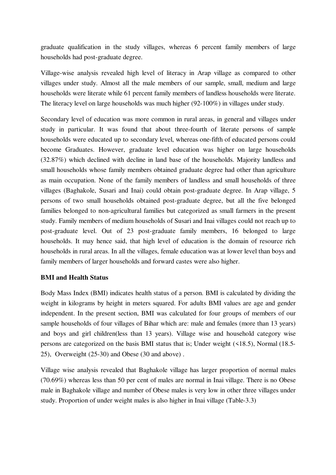graduate qualification in the study villages, whereas 6 percent family members of large households had post-graduate degree.

Village-wise analysis revealed high level of literacy in Arap village as compared to other villages under study. Almost all the male members of our sample, small, medium and large households were literate while 61 percent family members of landless households were literate. The literacy level on large households was much higher (92-100%) in villages under study.

Secondary level of education was more common in rural areas, in general and villages under study in particular. It was found that about three-fourth of literate persons of sample households were educated up to secondary level, whereas one-fifth of educated persons could become Graduates. However, graduate level education was higher on large households (32.87%) which declined with decline in land base of the households. Majority landless and small households whose family members obtained graduate degree had other than agriculture as main occupation. None of the family members of landless and small households of three villages (Baghakole, Susari and Inai) could obtain post-graduate degree. In Arap village, 5 persons of two small households obtained post-graduate degree, but all the five belonged families belonged to non-agricultural families but categorized as small farmers in the present study. Family members of medium households of Susari and Inai villages could not reach up to post-graduate level. Out of 23 post-graduate family members, 16 belonged to large households. It may hence said, that high level of education is the domain of resource rich households in rural areas. In all the villages, female education was at lower level than boys and family members of larger households and forward castes were also higher.

### **BMI and Health Status**

Body Mass Index (BMI) indicates health status of a person. BMI is calculated by dividing the weight in kilograms by height in meters squared. For adults BMI values are age and gender independent. In the present section, BMI was calculated for four groups of members of our sample households of four villages of Bihar which are: male and females (more than 13 years) and boys and girl children(less than 13 years). Village wise and household category wise persons are categorized on the basis BMI status that is; Under weight (<18.5), Normal (18.5- 25), Overweight (25-30) and Obese (30 and above) .

Village wise analysis revealed that Baghakole village has larger proportion of normal males (70.69%) whereas less than 50 per cent of males are normal in Inai village. There is no Obese male in Baghakole village and number of Obese males is very low in other three villages under study. Proportion of under weight males is also higher in Inai village (Table-3.3)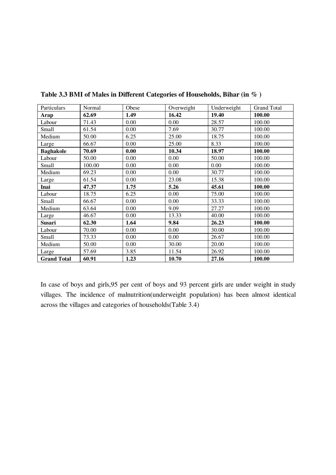| Particulars        | Normal | Obese | Overweight | Underweight | <b>Grand Total</b> |
|--------------------|--------|-------|------------|-------------|--------------------|
| <b>Arap</b>        | 62.69  | 1.49  | 16.42      | 19.40       | 100.00             |
| Labour             | 71.43  | 0.00  | 0.00       | 28.57       | 100.00             |
| Small              | 61.54  | 0.00  | 7.69       | 30.77       | 100.00             |
| Medium             | 50.00  | 6.25  | 25.00      | 18.75       | 100.00             |
| Large              | 66.67  | 0.00  | 25.00      | 8.33        | 100.00             |
| <b>Baghakole</b>   | 70.69  | 0.00  | 10.34      | 18.97       | 100.00             |
| Labour             | 50.00  | 0.00  | 0.00       | 50.00       | 100.00             |
| Small              | 100.00 | 0.00  | 0.00       | 0.00        | 100.00             |
| Medium             | 69.23  | 0.00  | 0.00       | 30.77       | 100.00             |
| Large              | 61.54  | 0.00  | 23.08      | 15.38       | 100.00             |
| Inai               | 47.37  | 1.75  | 5.26       | 45.61       | 100.00             |
| Labour             | 18.75  | 6.25  | 0.00       | 75.00       | 100.00             |
| Small              | 66.67  | 0.00  | 0.00       | 33.33       | 100.00             |
| Medium             | 63.64  | 0.00  | 9.09       | 27.27       | 100.00             |
| Large              | 46.67  | 0.00  | 13.33      | 40.00       | 100.00             |
| Susari             | 62.30  | 1.64  | 9.84       | 26.23       | 100.00             |
| Labour             | 70.00  | 0.00  | 0.00       | 30.00       | 100.00             |
| Small              | 73.33  | 0.00  | 0.00       | 26.67       | 100.00             |
| Medium             | 50.00  | 0.00  | 30.00      | 20.00       | 100.00             |
| Large              | 57.69  | 3.85  | 11.54      | 26.92       | 100.00             |
| <b>Grand Total</b> | 60.91  | 1.23  | 10.70      | 27.16       | 100.00             |

**Table 3.3 BMI of Males in Different Categories of Households, Bihar (in % )** 

In case of boys and girls,95 per cent of boys and 93 percent girls are under weight in study villages. The incidence of malnutrition(underweight population) has been almost identical across the villages and categories of households(Table 3.4)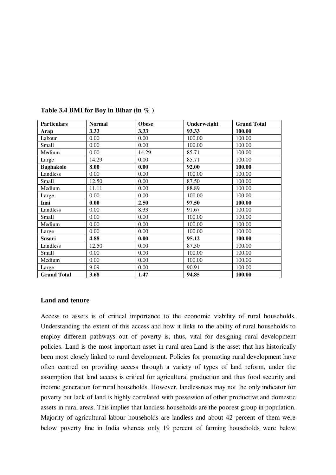| <b>Particulars</b> | <b>Normal</b> | <b>Obese</b> | Underweight | <b>Grand Total</b> |
|--------------------|---------------|--------------|-------------|--------------------|
| Arap               | 3.33          | 3.33         | 93.33       | 100.00             |
| Labour             | 0.00          | 0.00         | 100.00      | 100.00             |
| Small              | 0.00          | 0.00         | 100.00      | 100.00             |
| Medium             | 0.00          | 14.29        | 85.71       | 100.00             |
| Large              | 14.29         | 0.00         | 85.71       | 100.00             |
| <b>Baghakole</b>   | 8.00          | 0.00         | 92.00       | 100.00             |
| Landless           | 0.00          | 0.00         | 100.00      | 100.00             |
| Small              | 12.50         | 0.00         | 87.50       | 100.00             |
| Medium             | 11.11         | 0.00         | 88.89       | 100.00             |
| Large              | 0.00          | 0.00         | 100.00      | 100.00             |
| Inai               | 0.00          | 2.50         | 97.50       | 100.00             |
| Landless           | 0.00          | 8.33         | 91.67       | 100.00             |
| Small              | 0.00          | 0.00         | 100.00      | 100.00             |
| Medium             | 0.00          | 0.00         | 100.00      | 100.00             |
| Large              | 0.00          | 0.00         | 100.00      | 100.00             |
| <b>Susari</b>      | 4.88          | 0.00         | 95.12       | 100.00             |
| Landless           | 12.50         | 0.00         | 87.50       | 100.00             |
| Small              | 0.00          | 0.00         | 100.00      | 100.00             |
| Medium             | 0.00          | 0.00         | 100.00      | 100.00             |
| Large              | 9.09          | 0.00         | 90.91       | 100.00             |
| <b>Grand Total</b> | 3.68          | 1.47         | 94.85       | 100.00             |

**Table 3.4 BMI for Boy in Bihar (in % )** 

#### **Land and tenure**

Access to assets is of critical importance to the economic viability of rural households. Understanding the extent of this access and how it links to the ability of rural households to employ different pathways out of poverty is, thus, vital for designing rural development policies. Land is the most important asset in rural area.Land is the asset that has historically been most closely linked to rural development. Policies for promoting rural development have often centred on providing access through a variety of types of land reform, under the assumption that land access is critical for agricultural production and thus food security and income generation for rural households. However, landlessness may not the only indicator for poverty but lack of land is highly correlated with possession of other productive and domestic assets in rural areas. This implies that landless households are the poorest group in population. Majority of agricultural labour households are landless and about 42 percent of them were below poverty line in India whereas only 19 percent of farming households were below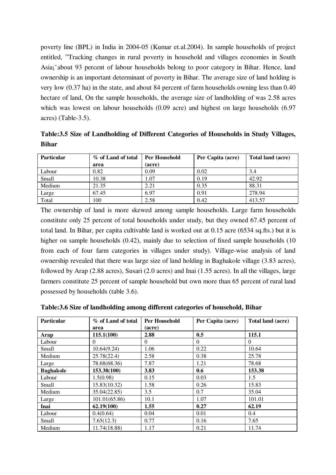poverty line (BPL) in India in 2004-05 (Kumar et.al.2004). In sample households of project entitled, "Tracking changes in rural poverty in household and villages economies in South Asia¡¨ about 93 percent of labour households belong to poor category in Bihar. Hence, land ownership is an important determinant of poverty in Bihar. The average size of land holding is very low (0.37 ha) in the state, and about 84 percent of farm households owning less than 0.40 hectare of land, On the sample households, the average size of landholding of was 2.58 acres which was lowest on labour households (0.09 acre) and highest on large households (6.97 acres) (Table-3.5).

**Table:3.5 Size of Landholding of Different Categories of Households in Study Villages, Bihar** 

| <b>Particular</b> | % of Land of total | Per Household | Per Capita (acre) | Total land (acre) |
|-------------------|--------------------|---------------|-------------------|-------------------|
|                   | area               | (acre)        |                   |                   |
| Labour            | 0.82               | 0.09          | 0.02              | 3.4               |
| Small             | 10.38              | 1.07          | 0.19              | 42.92             |
| Medium            | 21.35              | 2.21          | 0.35              | 88.31             |
| Large             | 67.45              | 6.97          | 0.91              | 278.94            |
| Total             | 100                | 2.58          | 0.42              | 413.57            |

The ownership of land is more skewed among sample households. Large farm households constitute only 25 percent of total households under study, but they owned 67.45 percent of total land. In Bihar, per capita cultivable land is worked out at 0.15 acre (6534 sq.fts.) but it is higher on sample households (0.42), mainly due to selection of fixed sample households (10 from each of four farm categories in villages under study). Village-wise analysis of land ownership revealed that there was large size of land holding in Baghakole village (3.83 acres), followed by Arap (2.88 acres), Susari (2.0 acres) and Inai (1.55 acres). In all the villages, large farmers constitute 25 percent of sample household but own more than 65 percent of rural land possessed by households (table 3.6).

| <b>Particular</b> | % of Land of total | Per Household | Per Capita (acre) | Total land (acre) |
|-------------------|--------------------|---------------|-------------------|-------------------|
|                   | area               | (acre)        |                   |                   |
| Arap              | 115.1(100)         | 2.88          | 0.5               | 115.1             |
| Labour            | $\theta$           | $\Omega$      | $\mathbf{0}$      | $\Omega$          |
| Small             | 10.64(9.24)        | 1.06          | 0.22              | 10.64             |
| Medium            | 25.78(22.4)        | 2.58          | 0.38              | 25.78             |
| Large             | 78.68(68.36)       | 7.87          | 1.21              | 78.68             |
| <b>Baghakole</b>  | 153.38(100)        | 3.83          | 0.6               | 153.38            |
| Labour            | 1.5(0.98)          | 0.15          | 0.03              | 1.5               |
| Small             | 15.83(10.32)       | 1.58          | 0.26              | 15.83             |
| Medium            | 35.04(22.85)       | 3.5           | 0.7               | 35.04             |
| Large             | 101.01(65.86)      | 10.1          | 1.07              | 101.01            |
| Inai              | 62.19(100)         | 1.55          | 0.27              | 62.19             |
| Labour            | 0.4(0.64)          | 0.04          | 0.01              | 0.4               |
| Small             | 7.65(12.3)         | 0.77          | 0.16              | 7.65              |
| Medium            | 11.74(18.88)       | 1.17          | 0.21              | 11.74             |

**Table:3.6 Size of landholding among different categories of household, Bihar**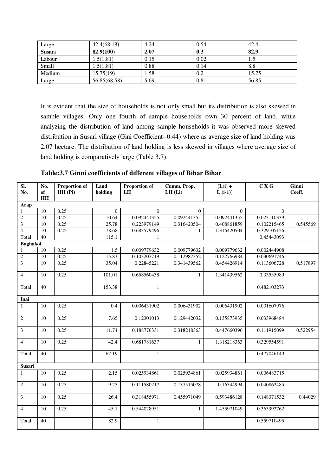| Large         | 42.4(68.18)  | 4.24 | 0.54 | 42.4  |
|---------------|--------------|------|------|-------|
| <b>Susari</b> | 82.9(100)    | 2.07 | 0.3  | 82.9  |
| Labour        | 1.5(1.81)    | 0.15 | 0.02 |       |
| Small         | 1.5(1.81)    | 0.88 | 0.14 | 8.8   |
| Medium        | 15.75(19)    | 1.58 | 0.2  | 15.75 |
| Large         | 56.85(68.58) | 5.69 | 0.81 | 56.85 |

It is evident that the size of households is not only small but its distribution is also skewed in sample villages. Only one fourth of sample households own 30 percent of land, while analyzing the distribution of land among sample households it was observed more skewed distribution in Susari village (Gini Coefficient- 0.44) where as average size of land holding was 2.07 hectare. The distribution of land holding is less skewed in villages where average size of land holding is comparatively large (Table 3.7).

| $\overline{\mathbf{S}}$ .<br>No. | No.<br>of | <b>Proportion of</b><br>$HH$ (Pi) | Land<br>holding | <b>Proportion of</b><br>LH | Cumm. Prop.<br>LH(Li) | $[L(i) +$<br>$L(i-1)$ ] | C X G       | Ginni<br>Coeff. |
|----------------------------------|-----------|-----------------------------------|-----------------|----------------------------|-----------------------|-------------------------|-------------|-----------------|
|                                  | H H       |                                   |                 |                            |                       |                         |             |                 |
| Arap                             |           |                                   |                 |                            |                       |                         |             |                 |
| $\mathbf{1}$                     | 10        | 0.25                              | $\overline{0}$  | $\Omega$                   | $\Omega$              | $\Omega$                | $\Omega$    |                 |
| $\sqrt{2}$                       | 10        | 0.25                              | 10.64           | 0.092441355                | 0.092441355           | 0.092441355             | 0.023110339 |                 |
| $\overline{\mathbf{3}}$          | 10        | 0.25                              | 25.78           | 0.223979149                | 0.316420504           | 0.408861859             | 0.102215465 | 0.545569        |
| $\overline{4}$                   | 10        | 0.25                              | 78.68           | 0.683579496                | $\mathbf{1}$          | 1.316420504             | 0.329105126 |                 |
| Total                            | 40        |                                   | 115.1           | $\mathbf{1}$               |                       |                         | 0.45443093  |                 |
| <b>Baghakol</b>                  |           |                                   |                 |                            |                       |                         |             |                 |
| $\mathbf{1}$                     | 10        | 0.25                              | 1.5             | 0.009779632                | 0.009779632           | 0.009779632             | 0.002444908 |                 |
| $\sqrt{2}$                       | 10        | 0.25                              | 15.83           | 0.103207719                | 0.112987352           | 0.122766984             | 0.030691746 |                 |
| $\overline{\mathbf{3}}$          | 10        | 0.25                              | 35.04           | 0.22845221                 | 0.341439562           | 0.454426914             | 0.113606728 | 0.517897        |
| $\overline{4}$                   | 10        | 0.25                              | 101.01          | 0.658560438                | $\mathbf{1}$          | 1.341439562             | 0.33535989  |                 |
| Total                            | 40        |                                   | 153.38          | $\mathbf{1}$               |                       |                         | 0.482103273 |                 |
| Inai                             |           |                                   |                 |                            |                       |                         |             |                 |
| $\mathbf{1}$                     | 10        | 0.25                              | 0.4             | 0.006431902                | 0.006431902           | 0.006431902             | 0.001607976 |                 |
| $\overline{c}$                   | 10        | 0.25                              | 7.65            | 0.12301013                 | 0.129442032           | 0.135873935             | 0.033968484 |                 |
| 3                                | 10        | 0.25                              | 11.74           | 0.188776331                | 0.318218363           | 0.447660396             | 0.111915099 | 0.522954        |
| $\overline{4}$                   | 10        | 0.25                              | 42.4            | 0.681781637                | $\mathbf{1}$          | 1.318218363             | 0.329554591 |                 |
| Total                            | 40        |                                   | 62.19           | $\mathbf{1}$               |                       |                         | 0.477046149 |                 |
| Susari                           |           |                                   |                 |                            |                       |                         |             |                 |
| $\mathbf{1}$                     | 10        | 0.25                              | 2.15            | 0.025934861                | 0.025934861           | 0.025934861             | 0.006483715 |                 |
| $\overline{c}$                   | 10        | 0.25                              | 9.25            | 0.111580217                | 0.137515078           | 0.16344994              | 0.040862485 |                 |
| 3                                | 10        | 0.25                              | 26.4            | 0.318455971                | 0.455971049           | 0.593486128             | 0.148371532 | 0.44029         |
| $\overline{4}$                   | 10        | 0.25                              | 45.1            | 0.544028951                | $\mathbf{1}$          | 1.455971049             | 0.363992762 |                 |
| Total                            | 40        |                                   | 82.9            | $\mathbf{1}$               |                       |                         | 0.559710495 |                 |

**Table:3.7 Ginni coefficients of different villages of Bihar Bihar**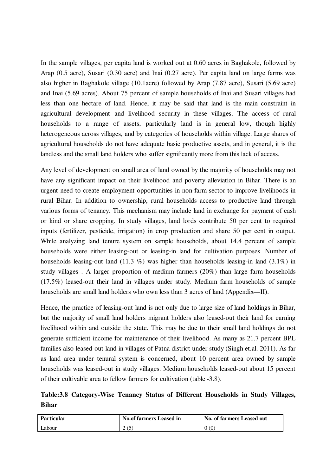In the sample villages, per capita land is worked out at 0.60 acres in Baghakole, followed by Arap (0.5 acre), Susari (0.30 acre) and Inai (0.27 acre). Per capita land on large farms was also higher in Baghakole village (10.1acre) followed by Arap (7.87 acre), Susari (5.69 acre) and Inai (5.69 acres). About 75 percent of sample households of Inai and Susari villages had less than one hectare of land. Hence, it may be said that land is the main constraint in agricultural development and livelihood security in these villages. The access of rural households to a range of assets, particularly land is in general low, though highly heterogeneous across villages, and by categories of households within village. Large shares of agricultural households do not have adequate basic productive assets, and in general, it is the landless and the small land holders who suffer significantly more from this lack of access.

Any level of development on small area of land owned by the majority of households may not have any significant impact on their livelihood and poverty alleviation in Bihar. There is an urgent need to create employment opportunities in non-farm sector to improve livelihoods in rural Bihar. In addition to ownership, rural households access to productive land through various forms of tenancy. This mechanism may include land in exchange for payment of cash or kind or share cropping. In study villages, land lords contribute 50 per cent to required inputs (fertilizer, pesticide, irrigation) in crop production and share 50 per cent in output. While analyzing land tenure system on sample households, about 14.4 percent of sample households were either leasing-out or leasing-in land for cultivation purposes. Number of households leasing-out land (11.3 %) was higher than households leasing-in land (3.1%) in study villages . A larger proportion of medium farmers (20%) than large farm households (17.5%) leased-out their land in villages under study. Medium farm households of sample households are small land holders who own less than 3 acres of land (Appendix—II).

Hence, the practice of leasing-out land is not only due to large size of land holdings in Bihar, but the majority of small land holders migrant holders also leased-out their land for earning livelihood within and outside the state. This may be due to their small land holdings do not generate sufficient income for maintenance of their livelihood. As many as 21.7 percent BPL families also leased-out land in villages of Patna district under study (Singh et.al. 2011). As far as land area under tenural system is concerned, about 10 percent area owned by sample households was leased-out in study villages. Medium households leased-out about 15 percent of their cultivable area to fellow farmers for cultivation (table -3.8).

**Table:3.8 Category-Wise Tenancy Status of Different Households in Study Villages, Bihar** 

| Particular | <b>No.of farmers Leased in</b> | No. of farmers Leased out |
|------------|--------------------------------|---------------------------|
| Labour     | J                              | (0)                       |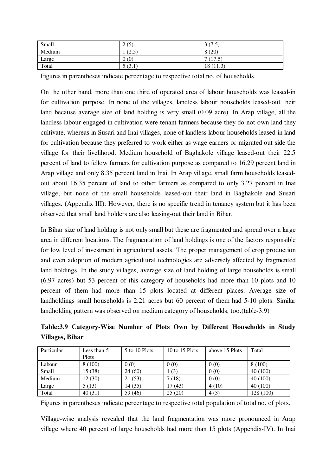| Small  | 2(5)                     | (7 <sup>5</sup> )<br>ر. ر<br>◡ |
|--------|--------------------------|--------------------------------|
| Medium | (25)<br>ن کے             | 8(20)                          |
| Large  | 0(0)                     | $\overline{ }$<br>(17.5)       |
| Total  | $\sqrt{2}$<br>(3.1)<br>◡ | 18 (11.3)                      |

Figures in parentheses indicate percentage to respective total no. of households

On the other hand, more than one third of operated area of labour households was leased-in for cultivation purpose. In none of the villages, landless labour households leased-out their land because average size of land holding is very small (0.09 acre). In Arap village, all the landless labour engaged in cultivation were tenant farmers because they do not own land they cultivate, whereas in Susari and Inai villages, none of landless labour households leased-in land for cultivation because they preferred to work either as wage earners or migrated out side the village for their livelihood. Medium household of Baghakole village leased-out their 22.5 percent of land to fellow farmers for cultivation purpose as compared to 16.29 percent land in Arap village and only 8.35 percent land in Inai. In Arap village, small farm households leasedout about 16.35 percent of land to other farmers as compared to only 3.27 percent in Inai village, but none of the small households leased-out their land in Baghakole and Susari villages. (Appendix III). However, there is no specific trend in tenancy system but it has been observed that small land holders are also leasing-out their land in Bihar.

In Bihar size of land holding is not only small but these are fragmented and spread over a large area in different locations. The fragmentation of land holdings is one of the factors responsible for low level of investment in agricultural assets. The proper management of crop production and even adoption of modern agricultural technologies are adversely affected by fragmented land holdings. In the study villages, average size of land holding of large households is small (6.97 acres) but 53 percent of this category of households had more than 10 plots and 10 percent of them had more than 15 plots located at different places. Average size of landholdings small households is 2.21 acres but 60 percent of them had 5-10 plots. Similar landholding pattern was observed on medium category of households, too.(table-3.9)

**Table:3.9 Category-Wise Number of Plots Own by Different Households in Study Villages, Bihar** 

| Particular | Less than 5 | 5 to 10 Plots | 10 to 15 Plots | above 15 Plots | Total     |
|------------|-------------|---------------|----------------|----------------|-----------|
|            | Plots       |               |                |                |           |
| Labour     | 8(100)      | 0(0)          | 0(0)           | 0(0)           | 8(100)    |
| Small      | 15(38)      | 24(60)        | (3)            | 0(0)           | 40(100)   |
| Medium     | 12 (30)     | 21 (53)       | (18)           | 0(0)           | 40(100)   |
| Large      | 5(13)       | 14 (35)       | 17(43)         | 4(10)          | 40(100)   |
| Total      | 40(31)      | 59 (46)       | 25(20)         | 4(3)           | 128 (100) |

Figures in parentheses indicate percentage to respective total population of total no. of plots.

Village-wise analysis revealed that the land fragmentation was more pronounced in Arap village where 40 percent of large households had more than 15 plots (Appendix-IV). In Inai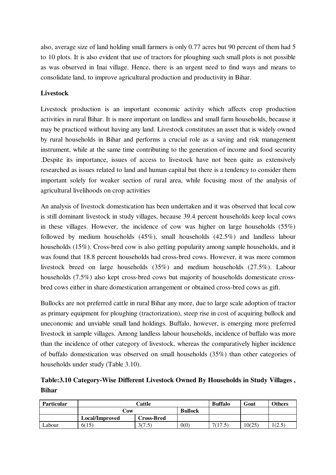also, average size of land holding small farmers is only 0.77 acres but 90 percent of them had 5 to 10 plots. It is also evident that use of tractors for ploughing such small plots is not possible as was observed in Inai village. Hence, there is an urgent need to find ways and means to consolidate land, to improve agricultural production and productivity in Bihar.

### **Livestock**

Livestock production is an important economic activity which affects crop production activities in rural Bihar. It is more important on landless and small farm households, because it may be practiced without having any land. Livestock constitutes an asset that is widely owned by rural households in Bihar and performs a crucial role as a saving and risk management instrument, while at the same time contributing to the generation of income and food security .Despite its importance, issues of access to livestock have not been quite as extensively researched as issues related to land and human capital but there is a tendency to consider them important solely for weaker section of rural area, while focusing most of the analysis of agricultural livelihoods on crop activities

An analysis of livestock domestication has been undertaken and it was observed that local cow is still dominant livestock in study villages, because 39.4 percent households keep local cows in these villages. However, the incidence of cow was higher on large households (55%) followed by medium households (45%), small households (42.5%) and landless labour households (15%). Cross-bred cow is also getting popularity among sample households, and it was found that 18.8 percent households had cross-bred cows. However, it was more common livestock breed on large households (35%) and medium households (27.5%). Labour households (7.5%) also kept cross-bred cows but majority of households domesticate crossbred cows either in share domestication arrangement or obtained cross-bred cows as gift.

Bullocks are not preferred cattle in rural Bihar any more, due to large scale adoption of tractor as primary equipment for ploughing (tractorization), steep rise in cost of acquiring bullock and uneconomic and unviable small land holdings. Buffalo, however, is emerging more preferred livestock in sample villages. Among landless labour households, incidence of buffalo was more than the incidence of other category of livestock, whereas the comparatively higher incidence of buffalo domestication was observed on small households (35%) than other categories of households under study (Table 3.10).

**Table:3.10 Category-Wise Different Livestock Owned By Households in Study Villages , Bihar** 

| <b>Particular</b> |                       | <b>Buffalo</b>    | Goat           | <b>Others</b> |        |               |
|-------------------|-----------------------|-------------------|----------------|---------------|--------|---------------|
|                   | ∠ow                   |                   | <b>Bullock</b> |               |        |               |
|                   | <b>Local/Improved</b> | <b>Cross-Bred</b> |                |               |        |               |
| Labour            | 6(15)                 | 3(7.5)            | 0(0)           | 7(17.5)       | 10(25) | (2.5)<br>ل کی |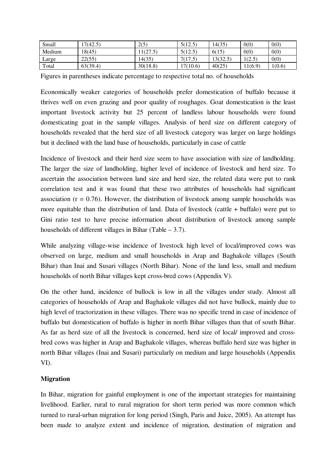| Small  | 17(42.5) | 2(5)     | 5(12.5)  | 14(35)   | 0(0)        | 0(0)   |
|--------|----------|----------|----------|----------|-------------|--------|
| Medium | (8(45)   | 1(27)    | 5(12.5)  | 6(15)    | 0(0)        | 0(0)   |
| Large  | 22(55)   | .4(35)   | 7(17.5)  | 13(32.5) | (2.5)<br>ر… | 0(0)   |
| Total  | 63(39.4) | 30(18.8) | 17(10.6) | 40(25)   | 11(6.9)     | 1(0.6) |

Figures in parentheses indicate percentage to respective total no. of households

Economically weaker categories of households prefer domestication of buffalo because it thrives well on even grazing and poor quality of roughages. Goat domestication is the least important livestock activity but 25 percent of landless labour households were found domesticating goat in the sample villages. Analysis of herd size on different category of households revealed that the herd size of all livestock category was larger on large holdings but it declined with the land base of households, particularly in case of cattle

Incidence of livestock and their herd size seem to have association with size of landholding. The larger the size of landholding, higher level of incidence of livestock and herd size. To ascertain the association between land size and herd size, the related data were put to rank correlation test and it was found that these two attributes of households had significant association ( $r = 0.76$ ). However, the distribution of livestock among sample households was more equitable than the distribution of land. Data of livestock (cattle + buffalo) were put to Gini ratio test to have precise information about distribution of livestock among sample households of different villages in Bihar (Table – 3.7).

While analyzing village-wise incidence of livestock high level of local/improved cows was observed on large, medium and small households in Arap and Baghakole villages (South Bihar) than Inai and Susari villages (North Bihar). None of the land less, small and medium households of north Bihar villages kept cross-bred cows (Appendix V).

On the other hand, incidence of bullock is low in all the villages under study. Almost all categories of households of Arap and Baghakole villages did not have bullock, mainly due to high level of tractorization in these villages. There was no specific trend in case of incidence of buffalo but domestication of buffalo is higher in north Bihar villages than that of south Bihar. As far as herd size of all the livestock is concerned, herd size of local/ improved and crossbred cows was higher in Arap and Baghakole villages, whereas buffalo herd size was higher in north Bihar villages (Inai and Susari) particularly on medium and large households (Appendix VI).

#### **Migration**

In Bihar, migration for gainful employment is one of the important strategies for maintaining livelihood. Earlier, rural to rural migration for short term period was more common which turned to rural-urban migration for long period (Singh, Paris and Juice, 2005). An attempt has been made to analyze extent and incidence of migration, destination of migration and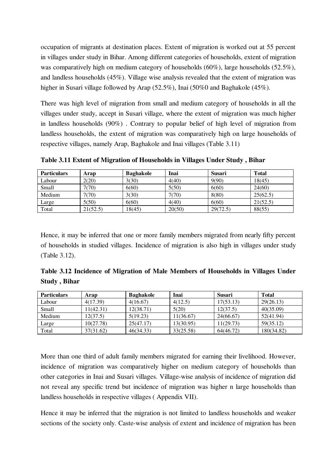occupation of migrants at destination places. Extent of migration is worked out at 55 percent in villages under study in Bihar. Among different categories of households, extent of migration was comparatively high on medium category of households (60%), large households (52.5%), and landless households (45%). Village wise analysis revealed that the extent of migration was higher in Susari village followed by Arap (52.5%), Inai (50%0 and Baghakole (45%).

There was high level of migration from small and medium category of households in all the villages under study, accept in Susari village, where the extent of migration was much higher in landless households (90%) . Contrary to popular belief of high level of migration from landless households, the extent of migration was comparatively high on large households of respective villages, namely Arap, Baghakole and Inai villages (Table 3.11)

**Table 3.11 Extent of Migration of Households in Villages Under Study , Bihar** 

| <b>Particulars</b> | Arap     | <b>Baghakole</b> | Inai   | <b>Susari</b> | <b>Total</b> |
|--------------------|----------|------------------|--------|---------------|--------------|
| Labour             | 2(20)    | 3(30)            | 4(40)  | 9(90)         | 18(45)       |
| Small              | 7(70)    | 6(60)            | 5(50)  | 6(60)         | 24(60)       |
| Medium             | 7(70)    | 3(30)            | 7(70)  | 8(80)         | 25(62.5)     |
| Large              | 5(50)    | 6(60)            | 4(40)  | 6(60)         | 21(52.5)     |
| Total              | 21(52.5) | 18(45)           | 20(50) | 29(72.5)      | 88(55)       |

Hence, it may be inferred that one or more family members migrated from nearly fifty percent of households in studied villages. Incidence of migration is also high in villages under study (Table 3.12).

**Table 3.12 Incidence of Migration of Male Members of Households in Villages Under Study , Bihar** 

| <b>Particulars</b> | Arap      | <b>Baghakole</b> | Inai      | Susari    | <b>Total</b> |
|--------------------|-----------|------------------|-----------|-----------|--------------|
| Labour             | 4(17.39)  | 4(16.67)         | 4(12.5)   | 17(53.13) | 29(26.13)    |
| Small              | 11(42.31) | 12(38.71)        | 5(20)     | 12(37.5)  | 40(35.09)    |
| Medium             | 12(37.5)  | 5(19.23)         | 11(36.67) | 24(66.67) | 52(41.94)    |
| Large              | 10(27.78) | 25(47.17)        | 13(30.95) | 11(29.73) | 59(35.12)    |
| Total              | 37(31.62) | 46(34.33)        | 33(25.58) | 64(46.72) | 180(34.82)   |

More than one third of adult family members migrated for earning their livelihood. However, incidence of migration was comparatively higher on medium category of households than other categories in Inai and Susari villages. Village-wise analysis of incidence of migration did not reveal any specific trend but incidence of migration was higher n large households than landless households in respective villages ( Appendix VII).

Hence it may be inferred that the migration is not limited to landless households and weaker sections of the society only. Caste-wise analysis of extent and incidence of migration has been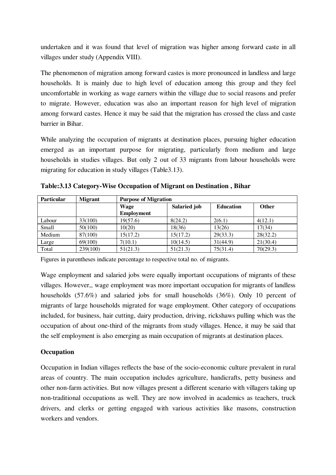undertaken and it was found that level of migration was higher among forward caste in all villages under study (Appendix VIII).

The phenomenon of migration among forward castes is more pronounced in landless and large households. It is mainly due to high level of education among this group and they feel uncomfortable in working as wage earners within the village due to social reasons and prefer to migrate. However, education was also an important reason for high level of migration among forward castes. Hence it may be said that the migration has crossed the class and caste barrier in Bihar.

While analyzing the occupation of migrants at destination places, pursuing higher education emerged as an important purpose for migrating, particularly from medium and large households in studies villages. But only 2 out of 33 migrants from labour households were migrating for education in study villages (Table3.13).

| <b>Particular</b> | <b>Migrant</b> | <b>Purpose of Migration</b> |              |                  |              |  |  |
|-------------------|----------------|-----------------------------|--------------|------------------|--------------|--|--|
|                   |                | Wage                        | Salaried job | <b>Education</b> | <b>Other</b> |  |  |
|                   |                | <b>Employment</b>           |              |                  |              |  |  |
| Labour            | 33(100)        | 19(57.6)                    | 8(24.2)      | 2(6.1)           | 4(12.1)      |  |  |
| Small             | 50(100)        | 10(20)                      | 18(36)       | 13(26)           | 17(34)       |  |  |
| Medium            | 87(100)        | 15(17.2)                    | 15(17.2)     | 29(33.3)         | 28(32.2)     |  |  |
| Large             | 69(100)        | 7(10.1)                     | 10(14.5)     | 31(44.9)         | 21(30.4)     |  |  |
| Total             | 239(100)       | 51(21.3)                    | 51(21.3)     | 75(31.4)         | 70(29.3)     |  |  |

**Table:3.13 Category-Wise Occupation of Migrant on Destination , Bihar** 

Figures in parentheses indicate percentage to respective total no. of migrants.

Wage employment and salaried jobs were equally important occupations of migrants of these villages. However,, wage employment was more important occupation for migrants of landless households (57.6%) and salaried jobs for small households (36%). Only 10 percent of migrants of large households migrated for wage employment. Other category of occupations included, for business, hair cutting, dairy production, driving, rickshaws pulling which was the occupation of about one-third of the migrants from study villages. Hence, it may be said that the self employment is also emerging as main occupation of migrants at destination places.

### **Occupation**

Occupation in Indian villages reflects the base of the socio-economic culture prevalent in rural areas of country. The main occupation includes agriculture, handicrafts, petty business and other non-farm activities. But now villages present a different scenario with villagers taking up non-traditional occupations as well. They are now involved in academics as teachers, truck drivers, and clerks or getting engaged with various activities like masons, construction workers and vendors.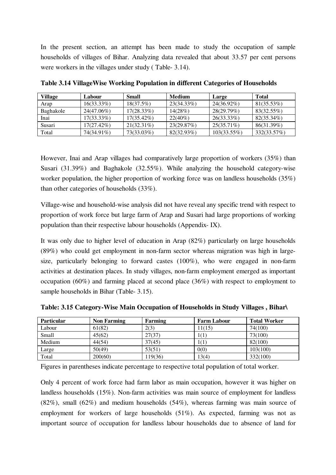In the present section, an attempt has been made to study the occupation of sample households of villages of Bihar. Analyzing data revealed that about 33.57 per cent persons were workers in the villages under study ( Table- 3.14).

| <b>Village</b> | Labour        | Small         | <b>Medium</b> | Large         | <b>Total</b> |
|----------------|---------------|---------------|---------------|---------------|--------------|
| Arap           | $16(33.33\%)$ | $18(37.5\%)$  | 23(34.33%)    | $24(36.92\%)$ | 81(35.53%)   |
| Baghakole      | 24(47.06%)    | $17(28.33\%)$ | 14(28%)       | 28(29.79%)    | 83(32.55%)   |
| Inai           | $17(33.33\%)$ | $17(35.42\%)$ | $22(40\%)$    | $26(33.33\%)$ | 82(35.34%)   |
| Susari         | 17(27.42%)    | $21(32.31\%)$ | 23(29.87%)    | $25(35.71\%)$ | 86(31.39%)   |
| Total          | 74(34.91%)    | 73(33.03%)    | $82(32.93\%)$ | 103(33.55%)   | 332(33.57%)  |

**Table 3.14 VillageWise Working Population in different Categories of Households** 

However, Inai and Arap villages had comparatively large proportion of workers (35%) than Susari (31.39%) and Baghakole (32.55%). While analyzing the household category-wise worker population, the higher proportion of working force was on landless households (35%) than other categories of households (33%).

Village-wise and household-wise analysis did not have reveal any specific trend with respect to proportion of work force but large farm of Arap and Susari had large proportions of working population than their respective labour households (Appendix- IX).

It was only due to higher level of education in Arap (82%) particularly on large households (89%) who could get employment in non-farm sector whereas migration was high in largesize, particularly belonging to forward castes (100%), who were engaged in non-farm activities at destination places. In study villages, non-farm employment emerged as important occupation (60%) and farming placed at second place (36%) with respect to employment to sample households in Bihar (Table- 3.15).

| <b>Particular</b> | <b>Non Farming</b> | Farming | <b>Farm Labour</b> | <b>Total Worker</b> |
|-------------------|--------------------|---------|--------------------|---------------------|
| Labour            | 61(82)             | 2(3)    | 11(15)             | 74(100)             |
| Small             | 45(62)             | 27(37)  | 1(1)               | 73(100)             |
| Medium            | 44(54)             | 37(45)  | 1(1)               | 82(100)             |
| Large             | 50(49)             | 53(51)  | 0(0)               | 103(100)            |
| Total             | 200(60)            | 119(36) | 13(4)              | 332(100)            |

**Table: 3.15 Category-Wise Main Occupation of Households in Study Villages , Bihar\** 

Figures in parentheses indicate percentage to respective total population of total worker.

Only 4 percent of work force had farm labor as main occupation, however it was higher on landless households (15%). Non-farm activities was main source of employment for landless (82%), small (62%) and medium households (54%), whereas farming was main source of employment for workers of large households (51%). As expected, farming was not as important source of occupation for landless labour households due to absence of land for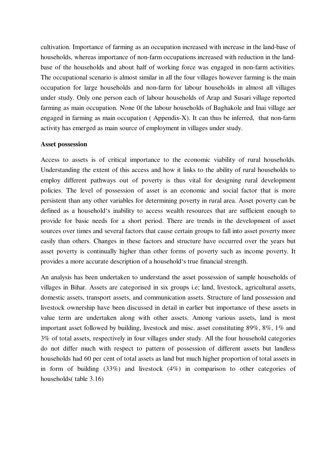cultivation. Importance of farming as an occupation increased with increase in the land-base of households, whereas importance of non-farm occupations increased with reduction in the landbase of the households and about half of working force was engaged in non-farm activities. The occupational scenario is almost similar in all the four villages however farming is the main occupation for large households and non-farm for labour households in almost all villages under study. Only one person each of labour households of Arap and Susari village reported farming as main occupation. None 0f the labour households of Baghakole and Inai village aer engaged in farming as main occupation ( Appendix-X). It can thus be inferred, that non-farm activity has emerged as main source of employment in villages under study.

#### **Asset possession**

Access to assets is of critical importance to the economic viability of rural households. Understanding the extent of this access and how it links to the ability of rural households to employ different pathways out of poverty is thus vital for designing rural development policies. The level of possession of asset is an economic and social factor that is more persistent than any other variables for determining poverty in rural area. Asset poverty can be defined as a household's inability to access wealth resources that are sufficient enough to provide for basic needs for a short period. There are trends in the development of asset sources over times and several factors that cause certain groups to fall into asset poverty more easily than others. Changes in these factors and structure have occurred over the years but asset poverty is continually higher than other forms of poverty such as income poverty. It provides a more accurate description of a household's true financial strength.

An analysis has been undertaken to understand the asset possession of sample households of villages in Bihar. Assets are categorised in six groups i.e; land, livestock, agricultural assets, domestic assets, transport assets, and communication assets. Structure of land possession and livestock ownership have been discussed in detail in earlier but importance of these assets in value term are undertaken along with other assets. Among various assets, land is most important asset followed by building, livestock and misc. asset constituting 89%, 8%, 1% and 3% of total assets, respectively in four villages under study. All the four household categories do not differ much with respect to pattern of possession of different assets but landless households had 60 per cent of total assets as land but much higher proportion of total assets in in form of building (33%) and livestock (4%) in comparison to other categories of households( table 3.16)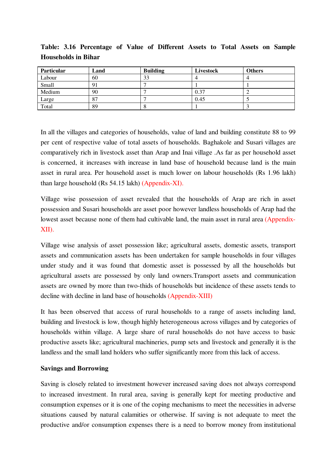| <b>Particular</b> | Land | <b>Building</b> | Livestock | <b>Others</b> |
|-------------------|------|-----------------|-----------|---------------|
| Labour            | 60   | 33              |           |               |
| Small             |      |                 |           |               |
| Medium            | 90   |                 | 0.37      |               |
| Large             | 87   |                 | 0.45      |               |
| Total             | 89   |                 |           |               |

**Table: 3.16 Percentage of Value of Different Assets to Total Assets on Sample Households in Bihar** 

In all the villages and categories of households, value of land and building constitute 88 to 99 per cent of respective value of total assets of households. Baghakole and Susari villages are comparatively rich in livestock asset than Arap and Inai village .As far as per household asset is concerned, it increases with increase in land base of household because land is the main asset in rural area. Per household asset is much lower on labour households (Rs 1.96 lakh) than large household (Rs 54.15 lakh) (Appendix-XI).

Village wise possession of asset revealed that the households of Arap are rich in asset possession and Susari households are asset poor however landless households of Arap had the lowest asset because none of them had cultivable land, the main asset in rural area (Appendix-XII).

Village wise analysis of asset possession like; agricultural assets, domestic assets, transport assets and communication assets has been undertaken for sample households in four villages under study and it was found that domestic asset is possessed by all the households but agricultural assets are possessed by only land owners.Transport assets and communication assets are owned by more than two-thids of households but incidence of these assets tends to decline with decline in land base of households (Appendix-XIII)

It has been observed that access of rural households to a range of assets including land, building and livestock is low, though highly heterogeneous across villages and by categories of households within village. A large share of rural households do not have access to basic productive assets like; agricultural machineries, pump sets and livestock and generally it is the landless and the small land holders who suffer significantly more from this lack of access.

#### **Savings and Borrowing**

Saving is closely related to investment however increased saving does not always correspond to increased investment. In rural area, saving is generally kept for meeting productive and consumption expenses or it is one of the coping mechanisms to meet the necessities in adverse situations caused by natural calamities or otherwise. If saving is not adequate to meet the productive and/or consumption expenses there is a need to borrow money from institutional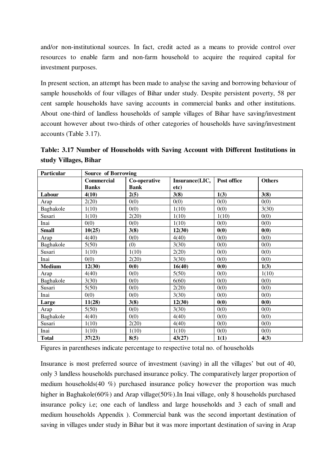and/or non-institutional sources. In fact, credit acted as a means to provide control over resources to enable farm and non-farm household to acquire the required capital for investment purposes.

In present section, an attempt has been made to analyse the saving and borrowing behaviour of sample households of four villages of Bihar under study. Despite persistent poverty, 58 per cent sample households have saving accounts in commercial banks and other institutions. About one-third of landless households of sample villages of Bihar have saving/investment account however about two-thirds of other categories of households have saving/investment accounts (Table 3.17).

**Table: 3.17 Number of Households with Saving Account with Different Institutions in study Villages, Bihar** 

| Particular    | <b>Source of Borrowing</b> |              |                |             |               |  |  |
|---------------|----------------------------|--------------|----------------|-------------|---------------|--|--|
|               | <b>Commercial</b>          | Co-operative | Insurance(LIC, | Post office | <b>Others</b> |  |  |
|               | <b>Banks</b>               | <b>Bank</b>  | etc)           |             |               |  |  |
| Labour        | 4(10)                      | 2(5)         | 3(8)           | 1(3)        | 3(8)          |  |  |
| Arap          | 2(20)                      | 0(0)         | 0(0)           | 0(0)        | 0(0)          |  |  |
| Baghakole     | 1(10)                      | 0(0)         | 1(10)          | 0(0)        | 3(30)         |  |  |
| Susari        | 1(10)                      | 2(20)        | 1(10)          | 1(10)       | 0(0)          |  |  |
| Inai          | 0(0)                       | 0(0)         | 1(10)          | 0(0)        | 0(0)          |  |  |
| <b>Small</b>  | 10(25)                     | 3(8)         | 12(30)         | 0(0)        | 0(0)          |  |  |
| Arap          | 4(40)                      | 0(0)         | 4(40)          | 0(0)        | 0(0)          |  |  |
| Baghakole     | 5(50)                      | (0)          | 3(30)          | 0(0)        | 0(0)          |  |  |
| Susari        | 1(10)                      | 1(10)        | 2(20)          | 0(0)        | 0(0)          |  |  |
| Inai          | 0(0)                       | 2(20)        | 3(30)          | 0(0)        | 0(0)          |  |  |
| <b>Medium</b> | 12(30)                     | 0(0)         | 16(40)         | 0(0)        | 1(3)          |  |  |
| Arap          | 4(40)                      | 0(0)         | 5(50)          | 0(0)        | 1(10)         |  |  |
| Baghakole     | 3(30)                      | 0(0)         | 6(60)          | 0(0)        | 0(0)          |  |  |
| Susari        | 5(50)                      | 0(0)         | 2(20)          | 0(0)        | 0(0)          |  |  |
| Inai          | 0(0)                       | 0(0)         | 3(30)          | 0(0)        | 0(0)          |  |  |
| Large         | 11(28)                     | 3(8)         | 12(30)         | 0(0)        | 0(0)          |  |  |
| Arap          | 5(50)                      | 0(0)         | 3(30)          | 0(0)        | 0(0)          |  |  |
| Baghakole     | 4(40)                      | 0(0)         | 4(40)          | 0(0)        | 0(0)          |  |  |
| Susari        | 1(10)                      | 2(20)        | 4(40)          | 0(0)        | 0(0)          |  |  |
| Inai          | 1(10)                      | 1(10)        | 1(10)          | 0(0)        | 0(0)          |  |  |
| <b>Total</b>  | 37(23)                     | 8(5)         | 43(27)         | 1(1)        | 4(3)          |  |  |

Figures in parentheses indicate percentage to respective total no. of households

Insurance is most preferred source of investment (saving) in all the villages' but out of 40, only 3 landless households purchased insurance policy. The comparatively larger proportion of medium households(40 %) purchased insurance policy however the proportion was much higher in Baghakole(60%) and Arap village(50%). In Inai village, only 8 households purchased insurance policy i.e; one each of landless and large households and 3 each of small and medium households Appendix ). Commercial bank was the second important destination of saving in villages under study in Bihar but it was more important destination of saving in Arap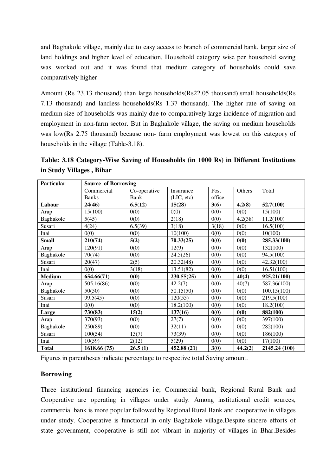and Baghakole village, mainly due to easy access to branch of commercial bank, larger size of land holdings and higher level of education. Household category wise per household saving was worked out and it was found that medium category of households could save comparatively higher

Amount (Rs 23.13 thousand) than large households(Rs22.05 thousand),small households(Rs 7.13 thousand) and landless households(Rs 1.37 thousand). The higher rate of saving on medium size of households was mainly due to comparatively large incidence of migration and employment in non-farm sector. But in Baghakole village, the saving on medium households was low(Rs 2.75 thousand) because non- farm employment was lowest on this category of households in the village (Table-3.18).

**Table: 3.18 Category-Wise Saving of Households (in 1000 Rs) in Different Institutions in Study Villages , Bihar** 

| Particular    |              |              | <b>Source of Borrowing</b> |        |         |               |  |  |  |  |
|---------------|--------------|--------------|----------------------------|--------|---------|---------------|--|--|--|--|
|               | Commercial   | Co-operative | Insurance                  | Post   | Others  | Total         |  |  |  |  |
|               | <b>Banks</b> | Bank         | (LIC, etc)                 | office |         |               |  |  |  |  |
| Labour        | 24(46)       | 6.5(12)      | 15(28)                     | 3(6)   | 4.2(8)  | 52.7(100)     |  |  |  |  |
| Arap          | 15(100)      | 0(0)         | 0(0)                       | 0(0)   | 0(0)    | 15(100)       |  |  |  |  |
| Baghakole     | 5(45)        | 0(0)         | 2(18)                      | 0(0)   | 4.2(38) | 11.2(100)     |  |  |  |  |
| Susari        | 4(24)        | 6.5(39)      | 3(18)                      | 3(18)  | 0(0)    | 16.5(100)     |  |  |  |  |
| Inai          | 0(0)         | 0(0)         | 10(100)                    | 0(0)   | 0(0)    | 10(100)       |  |  |  |  |
| <b>Small</b>  | 210(74)      | 5(2)         | 70.33(25)                  | 0(0)   | 0(0)    | 285.33(100)   |  |  |  |  |
| Arap          | 120(91)      | 0(0)         | 12(9)                      | 0(0)   | 0(0)    | 132(100)      |  |  |  |  |
| Baghakole     | 70(74)       | 0(0)         | 24.5(26)                   | 0(0)   | 0(0)    | 94.5(100)     |  |  |  |  |
| Susari        | 20(47)       | 2(5)         | 20.32(48)                  | 0(0)   | 0(0)    | 42.32(100)    |  |  |  |  |
| Inai          | 0(0)         | 3(18)        | 13.51(82)                  | 0(0)   | 0(0)    | 16.51(100)    |  |  |  |  |
| <b>Medium</b> | 654.66(71)   | 0(0)         | 230.55(25)                 | 0(0)   | 40(4)   | 925.21(100)   |  |  |  |  |
| Arap          | 505.16(86)   | 0(0)         | 42.2(7)                    | 0(0)   | 40(7)   | 587.36(100)   |  |  |  |  |
| Baghakole     | 50(50)       | 0(0)         | 50.15(50)                  | 0(0)   | 0(0)    | 100.15(100)   |  |  |  |  |
| Susari        | 99.5(45)     | 0(0)         | 120(55)                    | 0(0)   | 0(0)    | 219.5(100)    |  |  |  |  |
| Inai          | 0(0)         | 0(0)         | 18.2(100)                  | 0(0)   | 0(0)    | 18.2(100)     |  |  |  |  |
| Large         | 730(83)      | 15(2)        | 137(16)                    | 0(0)   | 0(0)    | 882(100)      |  |  |  |  |
| Arap          | 370(93)      | 0(0)         | 27(7)                      | 0(0)   | 0(0)    | 397(100)      |  |  |  |  |
| Baghakole     | 250(89)      | 0(0)         | 32(11)                     | 0(0)   | 0(0)    | 282(100)      |  |  |  |  |
| Susari        | 100(54)      | 13(7)        | 73(39)                     | 0(0)   | 0(0)    | 186(100)      |  |  |  |  |
| Inai          | 10(59)       | 2(12)        | 5(29)                      | 0(0)   | 0(0)    | 17(100)       |  |  |  |  |
| <b>Total</b>  | 1618.66 (75) | 26.5(1)      | 452.88 (21)                | 3(0)   | 44.2(2) | 2145.24 (100) |  |  |  |  |

Figures in parentheses indicate percentage to respective total Saving amount.

### **Borrowing**

Three institutional financing agencies i.e; Commercial bank, Regional Rural Bank and Cooperative are operating in villages under study. Among institutional credit sources, commercial bank is more popular followed by Regional Rural Bank and cooperative in villages under study. Cooperative is functional in only Baghakole village.Despite sincere efforts of state government, cooperative is still not vibrant in majority of villages in Bhar.Besides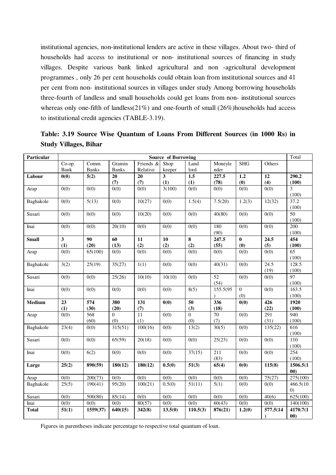institutional agencies, non-institutional lenders are active in these villages. About two- third of households had access to institutional or non- institutional sources of financing in study villages. Despite various bank linked agricultural and non -agricultural development programmes , only 26 per cent households could obtain loan from institutional sources and 41 per cent from non- institutional sources in villages under study Among borrowing households three-fourth of landless and small households could get loans from non- institutional sources whereas only one-fifth of landless(21%) and one-fourth of small (26%)households had access to institutional credit agencies (TABLE-3.19).

| Particular   |                   |              |                |           | <b>Source of Borrowing</b> |                       |             |                         |                    | Total             |
|--------------|-------------------|--------------|----------------|-----------|----------------------------|-----------------------|-------------|-------------------------|--------------------|-------------------|
|              | Co-op.            | Comm.        | Gramin         | Friends & | Shop                       | Land                  | Moneyle     | <b>SHG</b>              | Others             |                   |
|              | Bank              | <b>Banks</b> | <b>Banks</b>   | Relative  | keeper                     | lord                  | nder        |                         |                    |                   |
| Labour       | 0(0)              | 5(2)         | 20             | 20        | $\mathbf{3}$               | 1.5                   | 227.5       | 1.2                     | 12                 | 290.2             |
|              |                   |              | (7)            | (7)       | (1)                        | (1)                   | (78)        | (0)                     | (4)                | (100)             |
| Arap         | 0(0)              | 0(0)         | 0(0)           | 0(0)      | 3(100)                     | $\overline{0(0)}$     | 0(0)        | 0(0)                    | $\overline{0(0)}$  | 3                 |
|              |                   |              |                |           |                            |                       |             |                         |                    | (100)             |
| Baghakole    | 0(0)              | 5(13)        | 0(0)           | 10(27)    | 0(0)                       | 1.5(4)                | 7.5(20)     | 1.2(3)                  | 12(32)             | 37.2<br>(100)     |
| Susari       | 0(0)              | 0(0)         | 0(0)           | 10(20)    | 0(0)                       | 0(0)                  | 40(80)      | 0(0)                    | 0(0)               | 50                |
|              |                   |              |                |           |                            |                       |             |                         |                    | (100)             |
| Inai         | 0(0)              | 0(0)         | 20(10)         | 0(0)      | 0(0)                       | 0(0)                  | 180<br>(90) | 0(0)                    | 0(0)               | 200<br>(100)      |
| <b>Small</b> | $\mathbf{3}$      | 90           | 60             | 11        | 10                         | 8                     | 247.5       | $\pmb{0}$               | 24.5               | 454               |
|              | (1)               | (20)         | (13)           | (2)       | (2)                        | (2)                   | (55)        | (0)                     | (5)                | (100)             |
| Arap         | 0(0)              | 65(100)      | 0(0)           | 0(0)      | 0(0)                       | 0(0)                  | 0(0)        | 0(0)                    | 0(0)               | $\overline{65}$   |
|              |                   |              |                |           |                            |                       |             |                         |                    | (100)             |
| Baghakole    | 3(2)              | 25(19)       | 35(27)         | 1(1)      | 0(0)                       | 0(0)                  | 40(31)      | 0(0)                    | 24.5               | 128.5             |
|              |                   |              |                |           |                            |                       |             |                         | (19)               | (100)             |
| Susari       | $\overline{0(0)}$ | 0(0)         | 25(26)         | 10(10)    | 10(10)                     | 0(0)                  | 52          | 0(0)                    | 0(0)               | $\overline{97}$   |
|              |                   |              |                |           |                            |                       | (54)        |                         |                    | (100)             |
| Inai         | 0(0)              | 0(0)         | 0(0)           | 0(0)      | 0(0)                       | 8(5)                  | 155.5(95    | $\boldsymbol{0}$<br>(0) | 0(0)               | 163.5<br>(100)    |
| Medium       | 23                | 574          | 380            | 131       | 0(0)                       | $\overline{50}$       | 336         | 0(0)                    | $\overline{426}$   | 1920              |
|              | (1)               | (30)         | (20)           | (7)       |                            | (3)                   | (18)        |                         | (22)               | (100)             |
| Arap         | 0(0)              | 568          | $\overline{0}$ | 11        | 0(0)                       | $\overline{0}$        | $70\,$      | 0(0)                    | 291                | 940               |
|              |                   | (60)         | (0)            | (1)       |                            | (0)                   | (7)         |                         | (31)               | (100)             |
| Baghakole    | 23(4)             | 0(0)         | 315(51)        | 100(16)   | $\overline{0(0)}$          | 13(2)                 | 30(5)       | 0(0)                    | 135(22)            | 616               |
|              |                   |              |                |           |                            |                       |             |                         |                    | (100)             |
| Susari       | 0(0)              | 0(0)         | 65(59)         | 20(18)    | 0(0)                       | 0(0)                  | 25(23)      | 0(0)                    | 0(0)               | 110               |
|              |                   |              |                |           |                            |                       |             |                         |                    | (100)             |
| Inai         | 0(0)              | 6(2)         | 0(0)           | 0(0)      | 0(0)                       | 37(15)                | 211         | 0(0)                    | 0(0)               | 254               |
|              |                   |              |                |           |                            |                       | (83)        |                         |                    | (100)             |
| Large        | 25(2)             | 890(59)      | 180(12)        | 180(12)   | 0.5(0)                     | 51(3)                 | 65(4)       | 0(0)                    | 115(8)             | 1506.5(1          |
|              |                   |              |                |           |                            |                       |             |                         |                    | 00)               |
| Arap         | 0(0)              | 200(73)      | 0(0)           | 0(0)      | 0(0)                       | 0(0)                  | 0(0)        | 0(0)                    | 75(27)             | 275(100)          |
| Baghakole    | 25(5)             | 190(41)      | 95(20)         | 100(21)   | 0.5(0)                     | 51(11)                | 5(1)        | 0(0)                    | 0(0)               | 466.5(10)         |
|              |                   |              |                |           |                            |                       |             |                         |                    | $\left( 0\right)$ |
| Susari       | 0(0)              | 500(80)      | 85(14)         | 0(0)      | 0(0)                       | 0(0)                  | 0(0)        | 0(0)                    | $\overline{40(6)}$ | 625(100)          |
| Inai         | 0(0)              | 0(0)         | 0(0)           | 80(57)    | 0(0)                       | 0(0)                  | 60(43)      | 0(0)                    | 0(0)               | 140(100)          |
| <b>Total</b> | 51(1)             | 1559(37)     | 640(15)        | 342(8)    | 13.5(0)                    | $\overline{1}10.5(3)$ | 876(21)     | 1.2(0)                  | 577.5(14           | 4170.7(1          |
|              |                   |              |                |           |                            |                       |             |                         |                    | 00)               |

**Table: 3.19 Source Wise Quantum of Loans From Different Sources (in 1000 Rs) in Study Villages, Bihar** 

Figures in parentheses indicate percentage to respective total quantum of loan.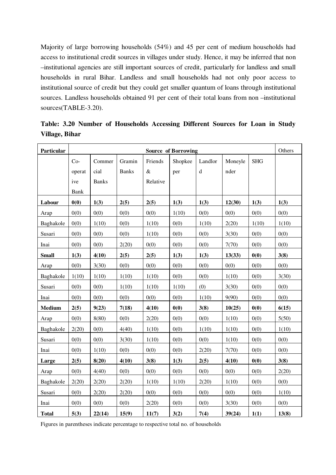Majority of large borrowing households (54%) and 45 per cent of medium households had access to institutional credit sources in villages under study. Hence, it may be inferred that non –institutional agencies are still important sources of credit, particularly for landless and small households in rural Bihar. Landless and small households had not only poor access to institutional source of credit but they could get smaller quantum of loans through institutional sources. Landless households obtained 91 per cent of their total loans from non –institutional sources(TABLE-3.20).

| Particular    |        |              |              |          | <b>Source of Borrowing</b> |         |         |            | Others |
|---------------|--------|--------------|--------------|----------|----------------------------|---------|---------|------------|--------|
|               | $Co-$  | Commer       | Gramin       | Friends  | Shopkee                    | Landlor | Moneyle | <b>SHG</b> |        |
|               | operat | cial         | <b>Banks</b> | $\&$     | per                        | $\rm d$ | nder    |            |        |
|               | ive    | <b>Banks</b> |              | Relative |                            |         |         |            |        |
|               | Bank   |              |              |          |                            |         |         |            |        |
| Labour        | 0(0)   | 1(3)         | 2(5)         | 2(5)     | 1(3)                       | 1(3)    | 12(30)  | 1(3)       | 1(3)   |
| Arap          | 0(0)   | 0(0)         | 0(0)         | 0(0)     | 1(10)                      | 0(0)    | 0(0)    | 0(0)       | 0(0)   |
| Baghakole     | 0(0)   | 1(10)        | 0(0)         | 1(10)    | 0(0)                       | 1(10)   | 2(20)   | 1(10)      | 1(10)  |
| Susari        | 0(0)   | 0(0)         | 0(0)         | 1(10)    | 0(0)                       | 0(0)    | 3(30)   | 0(0)       | 0(0)   |
| Inai          | 0(0)   | 0(0)         | 2(20)        | 0(0)     | 0(0)                       | 0(0)    | 7(70)   | 0(0)       | 0(0)   |
| <b>Small</b>  | 1(3)   | 4(10)        | 2(5)         | 2(5)     | 1(3)                       | 1(3)    | 13(33)  | 0(0)       | 3(8)   |
| Arap          | 0(0)   | 3(30)        | 0(0)         | 0(0)     | 0(0)                       | 0(0)    | 0(0)    | 0(0)       | 0(0)   |
| Baghakole     | 1(10)  | 1(10)        | 1(10)        | 1(10)    | 0(0)                       | 0(0)    | 1(10)   | 0(0)       | 3(30)  |
| Susari        | 0(0)   | 0(0)         | 1(10)        | 1(10)    | 1(10)                      | (0)     | 3(30)   | 0(0)       | 0(0)   |
| Inai          | 0(0)   | 0(0)         | 0(0)         | 0(0)     | 0(0)                       | 1(10)   | 9(90)   | 0(0)       | 0(0)   |
| <b>Medium</b> | 2(5)   | 9(23)        | 7(18)        | 4(10)    | 0(0)                       | 3(8)    | 10(25)  | 0(0)       | 6(15)  |
| Arap          | 0(0)   | 8(80)        | 0(0)         | 2(20)    | 0(0)                       | 0(0)    | 1(10)   | 0(0)       | 5(50)  |
| Baghakole     | 2(20)  | 0(0)         | 4(40)        | 1(10)    | 0(0)                       | 1(10)   | 1(10)   | 0(0)       | 1(10)  |
| Susari        | 0(0)   | 0(0)         | 3(30)        | 1(10)    | 0(0)                       | 0(0)    | 1(10)   | 0(0)       | 0(0)   |
| Inai          | 0(0)   | 1(10)        | 0(0)         | 0(0)     | 0(0)                       | 2(20)   | 7(70)   | 0(0)       | 0(0)   |
| Large         | 2(5)   | 8(20)        | 4(10)        | 3(8)     | 1(3)                       | 2(5)    | 4(10)   | 0(0)       | 3(8)   |
| Arap          | 0(0)   | 4(40)        | 0(0)         | 0(0)     | 0(0)                       | 0(0)    | 0(0)    | 0(0)       | 2(20)  |
| Baghakole     | 2(20)  | 2(20)        | 2(20)        | 1(10)    | 1(10)                      | 2(20)   | 1(10)   | 0(0)       | 0(0)   |
| Susari        | 0(0)   | 2(20)        | 2(20)        | 0(0)     | 0(0)                       | 0(0)    | 0(0)    | 0(0)       | 1(10)  |
| Inai          | 0(0)   | 0(0)         | 0(0)         | 2(20)    | 0(0)                       | 0(0)    | 3(30)   | 0(0)       | 0(0)   |
| <b>Total</b>  | 5(3)   | 22(14)       | 15(9)        | 11(7)    | 3(2)                       | 7(4)    | 39(24)  | 1(1)       | 13(8)  |

**Table: 3.20 Number of Households Accessing Different Sources for Loan in Study Village, Bihar** 

Figures in parentheses indicate percentage to respective total no. of households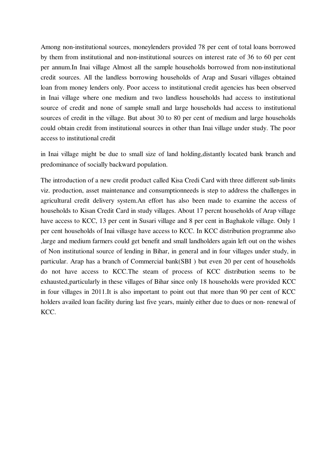Among non-institutional sources, moneylenders provided 78 per cent of total loans borrowed by them from institutional and non-institutional sources on interest rate of 36 to 60 per cent per annum.In Inai village Almost all the sample households borrowed from non-institutional credit sources. All the landless borrowing households of Arap and Susari villages obtained loan from money lenders only. Poor access to institutional credit agencies has been observed in Inai village where one medium and two landless households had access to institutional source of credit and none of sample small and large households had access to institutional sources of credit in the village. But about 30 to 80 per cent of medium and large households could obtain credit from institutional sources in other than Inai village under study. The poor access to institutional credit

in Inai village might be due to small size of land holding,distantly located bank branch and predominance of socially backward population.

The introduction of a new credit product called Kisa Credi Card with three different sub-limits viz. production, asset maintenance and consumptionneeds is step to address the challenges in agricultural credit delivery system.An effort has also been made to examine the access of households to Kisan Credit Card in study villages. About 17 percnt households of Arap village have access to KCC, 13 per cent in Susari village and 8 per cent in Baghakole village. Only 1 per cent households of Inai villasge have access to KCC. In KCC distribution programme also ,large and medium farmers could get benefit and small landholders again left out on the wishes of Non institutional source of lending in Bihar, in general and in four villages under study, in particular. Arap has a branch of Commercial bank(SBI ) but even 20 per cent of households do not have access to KCC.The steam of process of KCC distribution seems to be exhausted,particularly in these villages of Bihar since only 18 households were provided KCC in four villages in 2011.It is also important to point out that more than 90 per cent of KCC holders availed loan facility during last five years, mainly either due to dues or non- renewal of KCC.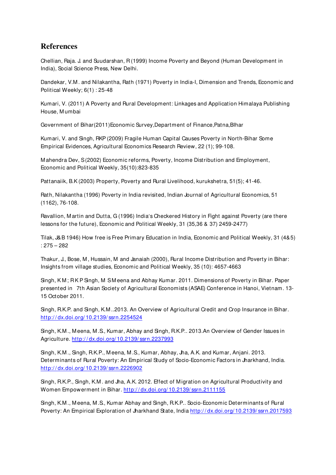### **References**

Chellian, Raja. J. and Suudarshan, R (1999) Income Poverty and Beyond (Human Development in India), Social Science Press, New Delhi.

Dandekar, V.M . and Nilakantha, Rath (1971) Poverty in India-I, Dimension and Trends, Economic and Political Weekly; 6(1) : 25-48

Kumari, V. (2011) A Poverty and Rural Development: Linkages and Application Himalaya Publishing House, M umbai

Government of Bihar(2011)Economic Survey,Department of Finance,Patna,BIhar

Kumari, V. and Singh, RKP (2009) Fragile Human Capital Causes Poverty in North-Bihar Some Empirical Evidences, Agricultural Economics Research Review, 22 (1); 99-108.

M ahendra Dev, S (2002) Economic reforms, Poverty, Income Distribution and Employment, Economic and Political Weekly, 35(10):823-835

Pattanaiik, B.K (2003) Property, Poverty and Rural Livelihood, kurukshetra, 51(5); 41-46.

Rath, Nilakantha (1996) Poverty in India revisited, Indian Journal of Agricultural Economics, 51 (1162), 76-108.

Ravallion, M artin and Dutta, G (1996) India's Checkered History in Fight against Poverty (are there lessons for the future), Economic and Political Weekly, 31 (35,36 & 37) 2459-2477)

Tilak, J&B 1946) How free is Free Primary Education in India, Economic and Political Weekly, 31 (4&5) : 275 – 282

Thakur, J., Bose, M , Hussain, M and Janaiah (2000), Rural Income Distribution and Poverty in Bihar: Insights from village studies, Economic and Political Weekly, 35 (10): 4657-4663

Singh, K M ; R K P Singh, M S M eena and Abhay Kumar. 2011. Dimensions of Poverty in Bihar. Paper presented in 7th Asian Society of Agricultural Economists (ASAE) Conference in Hanoi, Vietnam. 13- 15 October 2011.

Singh, R.K.P. and Singh, K.M ..2013. An Overview of Agricultural Credit and Crop Insurance in Bihar. http:/ / dx.doi.org/ 10.2139/ ssrn.2254524

Singh, K.M ., M eena, M .S., Kumar, Abhay and Singh, R.K.P.. 2013.An Overview of Gender Issues in Agriculture. http:/ / dx.doi.org/ 10.2139/ ssrn.2237993

Singh, K.M ., Singh, R.K.P., M eena, M .S., Kumar, Abhay, Jha, A.K. and Kumar, Anjani. 2013. Determinants of Rural Poverty: An Empirical Study of Socio-Economic Factors in Jharkhand, India. http:/ / dx.doi.org/ 10.2139/ ssrn.2226902

Singh, R.K.P., Singh, K.M . and Jha, A.K. 2012. Effect of M igration on Agricultural Productivity and Women Empowerment in Bihar. http://dx.doi.org/10.2139/ssrn.2111155

Singh, K.M ., M eena, M .S., Kumar Abhay and Singh, R.K.P.. Socio-Economic Determinants of Rural Poverty: An Empirical Exploration of Jharkhand State, India http:/ / dx.doi.org/ 10.2139/ ssrn.2017593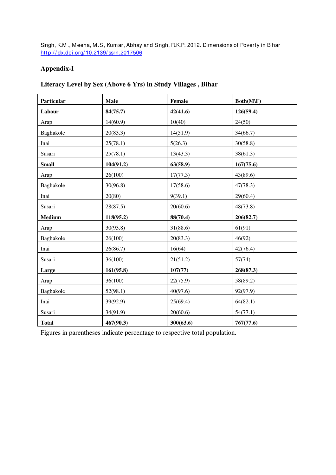Singh, K.M ., M eena, M .S., Kumar, Abhay and Singh, R.K.P. 2012. Dimensions of Poverty in Bihar http://dx.doi.org/10.2139/ssrn.2017506

### **Appendix-I**

### **Literacy Level by Sex (Above 6 Yrs) in Study Villages , Bihar**

| Particular   | Male      | Female    | Both(M\F) |
|--------------|-----------|-----------|-----------|
| Labour       | 84(75.7)  | 42(41.6)  | 126(59.4) |
| Arap         | 14(60.9)  | 10(40)    | 24(50)    |
| Baghakole    | 20(83.3)  | 14(51.9)  | 34(66.7)  |
| Inai         | 25(78.1)  | 5(26.3)   | 30(58.8)  |
| Susari       | 25(78.1)  | 13(43.3)  | 38(61.3)  |
| <b>Small</b> | 104(91.2) | 63(58.9)  | 167(75.6) |
| Arap         | 26(100)   | 17(77.3)  | 43(89.6)  |
| Baghakole    | 30(96.8)  | 17(58.6)  | 47(78.3)  |
| Inai         | 20(80)    | 9(39.1)   | 29(60.4)  |
| Susari       | 28(87.5)  | 20(60.6)  | 48(73.8)  |
| Medium       | 118(95.2) | 88(70.4)  | 206(82.7) |
| Arap         | 30(93.8)  | 31(88.6)  | 61(91)    |
| Baghakole    | 26(100)   | 20(83.3)  | 46(92)    |
| Inai         | 26(86.7)  | 16(64)    | 42(76.4)  |
| Susari       | 36(100)   | 21(51.2)  | 57(74)    |
| Large        | 161(95.8) | 107(77)   | 268(87.3) |
| Arap         | 36(100)   | 22(75.9)  | 58(89.2)  |
| Baghakole    | 52(98.1)  | 40(97.6)  | 92(97.9)  |
| Inai         | 39(92.9)  | 25(69.4)  | 64(82.1)  |
| Susari       | 34(91.9)  | 20(60.6)  | 54(77.1)  |
| <b>Total</b> | 467(90.3) | 300(63.6) | 767(77.6) |

Figures in parentheses indicate percentage to respective total population.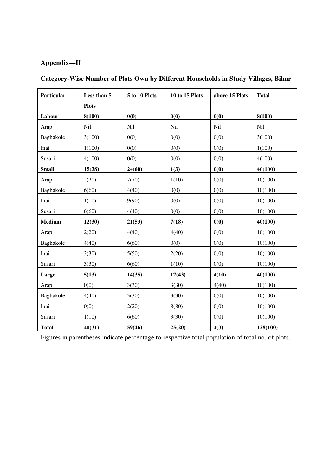### **Appendix—II**

| Particular    | Less than 5  | 5 to 10 Plots | <b>10 to 15 Plots</b> | above 15 Plots | <b>Total</b> |
|---------------|--------------|---------------|-----------------------|----------------|--------------|
|               | <b>Plots</b> |               |                       |                |              |
| Labour        | 8(100)       | 0(0)          | 0(0)                  | 0(0)           | 8(100)       |
| Arap          | Nil          | Nil           | Nil                   | Nil            | Nil          |
| Baghakole     | 3(100)       | 0(0)          | 0(0)                  | 0(0)           | 3(100)       |
| Inai          | 1(100)       | 0(0)          | 0(0)                  | 0(0)           | 1(100)       |
| Susari        | 4(100)       | 0(0)          | 0(0)                  | 0(0)           | 4(100)       |
| <b>Small</b>  | 15(38)       | 24(60)        | 1(3)                  | 0(0)           | 40(100)      |
| Arap          | 2(20)        | 7(70)         | 1(10)                 | 0(0)           | 10(100)      |
| Baghakole     | 6(60)        | 4(40)         | 0(0)                  | 0(0)           | 10(100)      |
| Inai          | 1(10)        | 9(90)         | 0(0)                  | 0(0)           | 10(100)      |
| Susari        | 6(60)        | 4(40)         | 0(0)                  | 0(0)           | 10(100)      |
| <b>Medium</b> | 12(30)       | 21(53)        | 7(18)                 | 0(0)           | 40(100)      |
| Arap          | 2(20)        | 4(40)         | 4(40)                 | 0(0)           | 10(100)      |
| Baghakole     | 4(40)        | 6(60)         | 0(0)                  | 0(0)           | 10(100)      |
| Inai          | 3(30)        | 5(50)         | 2(20)                 | 0(0)           | 10(100)      |
| Susari        | 3(30)        | 6(60)         | 1(10)                 | 0(0)           | 10(100)      |
| Large         | 5(13)        | 14(35)        | 17(43)                | 4(10)          | 40(100)      |
| Arap          | 0(0)         | 3(30)         | 3(30)                 | 4(40)          | 10(100)      |
| Baghakole     | 4(40)        | 3(30)         | 3(30)                 | 0(0)           | 10(100)      |
| Inai          | 0(0)         | 2(20)         | 8(80)                 | 0(0)           | 10(100)      |
| Susari        | 1(10)        | 6(60)         | 3(30)                 | 0(0)           | 10(100)      |
| <b>Total</b>  | 40(31)       | 59(46)        | 25(20)                | 4(3)           | 128(100)     |

## **Category-Wise Number of Plots Own by Different Households in Study Villages, Bihar**

Figures in parentheses indicate percentage to respective total population of total no. of plots.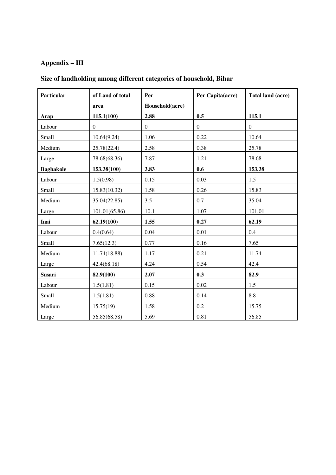## **Appendix – III**

| Particular       | of Land of total<br>area | Per<br>Household(acre) | Per Capita(acre) | Total land (acre) |
|------------------|--------------------------|------------------------|------------------|-------------------|
| Arap             | 115.1(100)               | 2.88                   | 0.5              | 115.1             |
| Labour           | $\mathbf{0}$             | $\mathbf{0}$           | $\boldsymbol{0}$ | $\mathbf{0}$      |
| Small            | 10.64(9.24)              | 1.06                   | 0.22             | 10.64             |
| Medium           | 25.78(22.4)              | 2.58                   | 0.38             | 25.78             |
| Large            | 78.68(68.36)             | 7.87                   | 1.21             | 78.68             |
| <b>Baghakole</b> | 153.38(100)              | 3.83                   | 0.6              | 153.38            |
| Labour           | 1.5(0.98)                | 0.15                   | 0.03             | 1.5               |
| Small            | 15.83(10.32)             | 1.58                   | 0.26             | 15.83             |
| Medium           | 35.04(22.85)             | 3.5                    | 0.7              | 35.04             |
| Large            | 101.01(65.86)            | 10.1                   | 1.07             | 101.01            |
| Inai             | 62.19(100)               | 1.55                   | 0.27             | 62.19             |
| Labour           | 0.4(0.64)                | 0.04                   | 0.01             | 0.4               |
| Small            | 7.65(12.3)               | 0.77                   | 0.16             | 7.65              |
| Medium           | 11.74(18.88)             | 1.17                   | 0.21             | 11.74             |
| Large            | 42.4(68.18)              | 4.24                   | 0.54             | 42.4              |
| <b>Susari</b>    | 82.9(100)                | 2.07                   | 0.3              | 82.9              |
| Labour           | 1.5(1.81)                | 0.15                   | $0.02\,$         | 1.5               |
| Small            | 1.5(1.81)                | 0.88                   | 0.14             | 8.8               |
| Medium           | 15.75(19)                | 1.58                   | 0.2              | 15.75             |
| Large            | 56.85(68.58)             | 5.69                   | 0.81             | 56.85             |

## **Size of landholding among different categories of household, Bihar**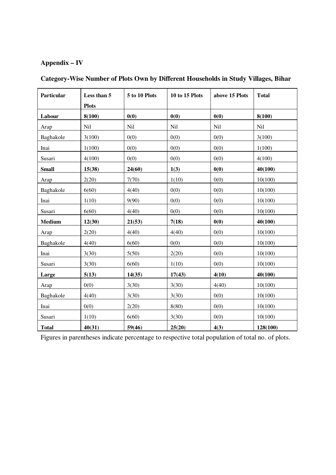## **Appendix – IV**

| Particular    | Less than 5  | 5 to 10 Plots | <b>10 to 15 Plots</b> | above 15 Plots | <b>Total</b> |
|---------------|--------------|---------------|-----------------------|----------------|--------------|
|               | <b>Plots</b> |               |                       |                |              |
| Labour        | 8(100)       | 0(0)          | 0(0)                  | 0(0)           | 8(100)       |
| Arap          | Nil          | Nil           | Nil                   | Nil            | Nil          |
| Baghakole     | 3(100)       | 0(0)          | 0(0)                  | 0(0)           | 3(100)       |
| Inai          | 1(100)       | 0(0)          | 0(0)                  | 0(0)           | 1(100)       |
| Susari        | 4(100)       | 0(0)          | 0(0)                  | 0(0)           | 4(100)       |
| <b>Small</b>  | 15(38)       | 24(60)        | 1(3)                  | 0(0)           | 40(100)      |
| Arap          | 2(20)        | 7(70)         | 1(10)                 | 0(0)           | 10(100)      |
| Baghakole     | 6(60)        | 4(40)         | 0(0)                  | 0(0)           | 10(100)      |
| Inai          | 1(10)        | 9(90)         | 0(0)                  | 0(0)           | 10(100)      |
| Susari        | 6(60)        | 4(40)         | 0(0)                  | 0(0)           | 10(100)      |
| <b>Medium</b> | 12(30)       | 21(53)        | 7(18)                 | 0(0)           | 40(100)      |
| Arap          | 2(20)        | 4(40)         | 4(40)                 | 0(0)           | 10(100)      |
| Baghakole     | 4(40)        | 6(60)         | 0(0)                  | 0(0)           | 10(100)      |
| Inai          | 3(30)        | 5(50)         | 2(20)                 | 0(0)           | 10(100)      |
| Susari        | 3(30)        | 6(60)         | 1(10)                 | 0(0)           | 10(100)      |
| Large         | 5(13)        | 14(35)        | 17(43)                | 4(10)          | 40(100)      |
| Arap          | 0(0)         | 3(30)         | 3(30)                 | 4(40)          | 10(100)      |
| Baghakole     | 4(40)        | 3(30)         | 3(30)                 | 0(0)           | 10(100)      |
| Inai          | 0(0)         | 2(20)         | 8(80)                 | 0(0)           | 10(100)      |
| Susari        | 1(10)        | 6(60)         | 3(30)                 | 0(0)           | 10(100)      |
| <b>Total</b>  | 40(31)       | 59(46)        | 25(20)                | 4(3)           | 128(100)     |

## **Category-Wise Number of Plots Own by Different Households in Study Villages, Bihar**

Figures in parentheses indicate percentage to respective total population of total no. of plots.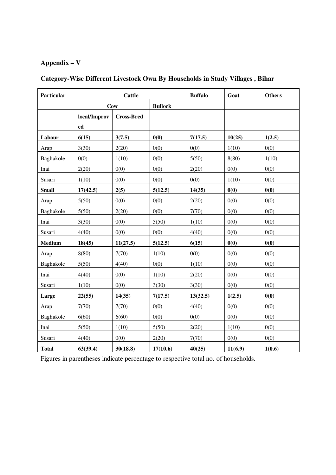## **Appendix – V**

| Particular    |              | <b>Cattle</b>     |                |          | Goat    | <b>Others</b> |
|---------------|--------------|-------------------|----------------|----------|---------|---------------|
|               |              | <b>Cow</b>        | <b>Bullock</b> |          |         |               |
|               | local/Improv | <b>Cross-Bred</b> |                |          |         |               |
|               | ed           |                   |                |          |         |               |
| Labour        | 6(15)        | 3(7.5)            | 0(0)           | 7(17.5)  | 10(25)  | 1(2.5)        |
| Arap          | 3(30)        | 2(20)             | 0(0)           | 0(0)     | 1(10)   | 0(0)          |
| Baghakole     | 0(0)         | 1(10)             | 0(0)           | 5(50)    | 8(80)   | 1(10)         |
| Inai          | 2(20)        | 0(0)              | 0(0)           | 2(20)    | 0(0)    | 0(0)          |
| Susari        | 1(10)        | 0(0)              | 0(0)           | 0(0)     | 1(10)   | 0(0)          |
| <b>Small</b>  | 17(42.5)     | 2(5)              | 5(12.5)        | 14(35)   | 0(0)    | 0(0)          |
| Arap          | 5(50)        | 0(0)              | 0(0)           | 2(20)    | 0(0)    | 0(0)          |
| Baghakole     | 5(50)        | 2(20)             | 0(0)           | 7(70)    | 0(0)    | 0(0)          |
| Inai          | 3(30)        | 0(0)              | 5(50)          | 1(10)    | 0(0)    | 0(0)          |
| Susari        | 4(40)        | 0(0)              | 0(0)           | 4(40)    | 0(0)    | 0(0)          |
| <b>Medium</b> | 18(45)       | 11(27.5)          | 5(12.5)        | 6(15)    | 0(0)    | 0(0)          |
| Arap          | 8(80)        | 7(70)             | 1(10)          | 0(0)     | 0(0)    | 0(0)          |
| Baghakole     | 5(50)        | 4(40)             | 0(0)           | 1(10)    | 0(0)    | 0(0)          |
| Inai          | 4(40)        | 0(0)              | 1(10)          | 2(20)    | 0(0)    | 0(0)          |
| Susari        | 1(10)        | 0(0)              | 3(30)          | 3(30)    | 0(0)    | 0(0)          |
| Large         | 22(55)       | 14(35)            | 7(17.5)        | 13(32.5) | 1(2.5)  | 0(0)          |
| Arap          | 7(70)        | 7(70)             | 0(0)           | 4(40)    | 0(0)    | 0(0)          |
| Baghakole     | 6(60)        | 6(60)             | 0(0)           | 0(0)     | 0(0)    | 0(0)          |
| Inai          | 5(50)        | 1(10)             | 5(50)          | 2(20)    | 1(10)   | 0(0)          |
| Susari        | 4(40)        | 0(0)              | 2(20)          | 7(70)    | 0(0)    | 0(0)          |
| <b>Total</b>  | 63(39.4)     | 30(18.8)          | 17(10.6)       | 40(25)   | 11(6.9) | 1(0.6)        |

## **Category-Wise Different Livestock Own By Households in Study Villages , Bihar**

Figures in parentheses indicate percentage to respective total no. of households.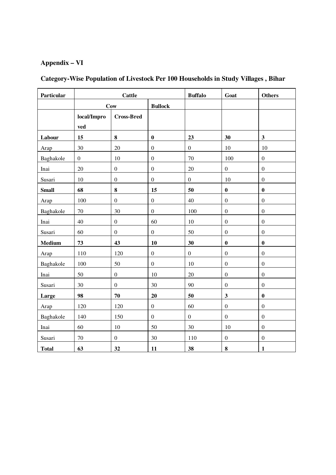## **Appendix – VI**

| Particular   |                  | <b>Cattle</b><br><b>Buffalo</b> |                  |                  | Goat             | <b>Others</b>           |
|--------------|------------------|---------------------------------|------------------|------------------|------------------|-------------------------|
|              |                  | <b>Cow</b>                      | <b>Bullock</b>   |                  |                  |                         |
|              | local/Impro      | <b>Cross-Bred</b>               |                  |                  |                  |                         |
|              | ved              |                                 |                  |                  |                  |                         |
| Labour       | 15               | $\bf{8}$                        | $\bf{0}$         | 23               | 30               | $\overline{\mathbf{3}}$ |
| Arap         | 30               | 20                              | $\boldsymbol{0}$ | $\boldsymbol{0}$ | 10               | 10                      |
| Baghakole    | $\boldsymbol{0}$ | 10                              | $\mathbf{0}$     | 70               | 100              | $\boldsymbol{0}$        |
| Inai         | 20               | $\boldsymbol{0}$                | $\boldsymbol{0}$ | 20               | $\boldsymbol{0}$ | $\boldsymbol{0}$        |
| Susari       | 10               | $\boldsymbol{0}$                | $\boldsymbol{0}$ | $\boldsymbol{0}$ | 10               | $\boldsymbol{0}$        |
| <b>Small</b> | 68               | 8                               | 15               | 50               | $\bf{0}$         | $\bf{0}$                |
| Arap         | 100              | $\boldsymbol{0}$                | $\boldsymbol{0}$ | 40               | $\boldsymbol{0}$ | $\boldsymbol{0}$        |
| Baghakole    | 70               | 30                              | $\overline{0}$   | 100              | $\overline{0}$   | $\mathbf{0}$            |
| Inai         | 40               | $\boldsymbol{0}$                | 60               | 10               | $\boldsymbol{0}$ | $\boldsymbol{0}$        |
| Susari       | 60               | $\boldsymbol{0}$                | $\mathbf{0}$     | 50               | $\boldsymbol{0}$ | $\boldsymbol{0}$        |
| Medium       | 73               | 43                              | 10               | 30               | $\bf{0}$         | $\bf{0}$                |
| Arap         | 110              | 120                             | $\mathbf{0}$     | $\boldsymbol{0}$ | $\overline{0}$   | $\boldsymbol{0}$        |
| Baghakole    | 100              | 50                              | $\mathbf{0}$     | $10\,$           | $\boldsymbol{0}$ | $\boldsymbol{0}$        |
| Inai         | 50               | $\boldsymbol{0}$                | $10\,$           | 20               | $\boldsymbol{0}$ | $\boldsymbol{0}$        |
| Susari       | 30               | $\boldsymbol{0}$                | 30               | 90               | $\boldsymbol{0}$ | $\boldsymbol{0}$        |
| Large        | 98               | 70                              | 20               | 50               | $\mathbf{3}$     | $\bf{0}$                |
| Arap         | 120              | 120                             | $\boldsymbol{0}$ | 60               | $\boldsymbol{0}$ | $\boldsymbol{0}$        |
| Baghakole    | 140              | 150                             | $\overline{0}$   | $\boldsymbol{0}$ | $\boldsymbol{0}$ | $\boldsymbol{0}$        |
| Inai         | 60               | $10\,$                          | 50               | 30               | 10               | $\boldsymbol{0}$        |
| Susari       | 70               | $\boldsymbol{0}$                | 30               | 110              | $\boldsymbol{0}$ | $\boldsymbol{0}$        |
| <b>Total</b> | 63               | 32                              | 11               | 38               | $\bf{8}$         | $\mathbf{1}$            |

## **Category-Wise Population of Livestock Per 100 Households in Study Villages , Bihar**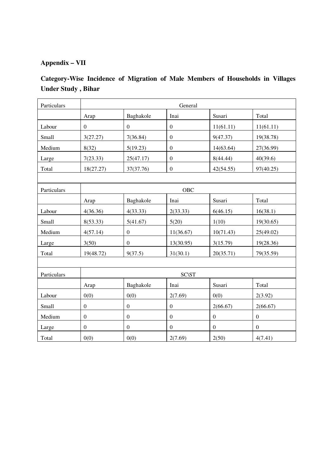## **Appendix – VII**

## **Category-Wise Incidence of Migration of Male Members of Households in Villages Under Study , Bihar**

| Particulars |                  | General          |                  |                  |                  |  |  |  |
|-------------|------------------|------------------|------------------|------------------|------------------|--|--|--|
|             | Arap             | Baghakole        | Inai             | Susari           | Total            |  |  |  |
| Labour      | $\boldsymbol{0}$ | $\mathbf{0}$     | $\mathbf{0}$     | 11(61.11)        | 11(61.11)        |  |  |  |
| Small       | 3(27.27)         | 7(36.84)         | $\mathbf{0}$     | 9(47.37)         | 19(38.78)        |  |  |  |
| Medium      | 8(32)            | 5(19.23)         | $\mathbf{0}$     | 14(63.64)        | 27(36.99)        |  |  |  |
| Large       | 7(23.33)         | 25(47.17)        | $\mathbf{0}$     | 8(44.44)         | 40(39.6)         |  |  |  |
| Total       | 18(27.27)        | 37(37.76)        | $\boldsymbol{0}$ | 42(54.55)        | 97(40.25)        |  |  |  |
|             |                  |                  |                  |                  |                  |  |  |  |
| Particulars |                  | OBC              |                  |                  |                  |  |  |  |
|             | Arap             | Baghakole        | Inai             | Susari           | Total            |  |  |  |
| Labour      | 4(36.36)         | 4(33.33)         | 2(33.33)         | 6(46.15)         | 16(38.1)         |  |  |  |
| Small       | 8(53.33)         | 5(41.67)         | 5(20)            | 1(10)            | 19(30.65)        |  |  |  |
| Medium      | 4(57.14)         | $\boldsymbol{0}$ | 11(36.67)        | 10(71.43)        | 25(49.02)        |  |  |  |
| Large       | 3(50)            | $\boldsymbol{0}$ | 13(30.95)        | 3(15.79)         | 19(28.36)        |  |  |  |
| Total       | 19(48.72)        | 9(37.5)          | 31(30.1)         | 20(35.71)        | 79(35.59)        |  |  |  |
|             |                  |                  |                  |                  |                  |  |  |  |
| Particulars |                  |                  | <b>SC\ST</b>     |                  |                  |  |  |  |
|             | Arap             | Baghakole        | Inai             | Susari           | Total            |  |  |  |
| Labour      | 0(0)             | 0(0)             | 2(7.69)          | 0(0)             | 2(3.92)          |  |  |  |
| Small       | $\boldsymbol{0}$ | $\boldsymbol{0}$ | $\mathbf{0}$     | 2(66.67)         | 2(66.67)         |  |  |  |
| Medium      | $\boldsymbol{0}$ | $\mathbf{0}$     | $\boldsymbol{0}$ | $\boldsymbol{0}$ | $\mathbf{0}$     |  |  |  |
| Large       | $\boldsymbol{0}$ | $\boldsymbol{0}$ | $\mathbf{0}$     | $\boldsymbol{0}$ | $\boldsymbol{0}$ |  |  |  |
| Total       | 0(0)             | 0(0)             | 2(7.69)          | 2(50)            | 4(7.41)          |  |  |  |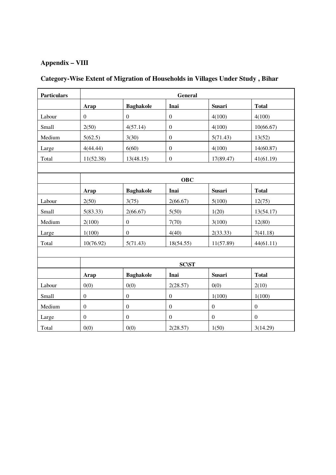## **Appendix – VIII**

## **Category-Wise Extent of Migration of Households in Villages Under Study , Bihar**

| <b>Particulars</b> |                  |                  | General          |                  |                  |  |  |  |
|--------------------|------------------|------------------|------------------|------------------|------------------|--|--|--|
|                    | Arap             | <b>Baghakole</b> | Inai             | Susari           | <b>Total</b>     |  |  |  |
| Labour             | $\boldsymbol{0}$ | $\boldsymbol{0}$ | $\boldsymbol{0}$ | 4(100)           | 4(100)           |  |  |  |
| Small              | 2(50)            | 4(57.14)         | $\boldsymbol{0}$ | 4(100)           | 10(66.67)        |  |  |  |
| Medium             | 5(62.5)          | 3(30)            | $\boldsymbol{0}$ | 5(71.43)         | 13(52)           |  |  |  |
| Large              | 4(44.44)         | 6(60)            | $\boldsymbol{0}$ | 4(100)           | 14(60.87)        |  |  |  |
| Total              | 11(52.38)        | 13(48.15)        | $\boldsymbol{0}$ | 17(89.47)        | 41(61.19)        |  |  |  |
|                    |                  |                  |                  |                  |                  |  |  |  |
|                    |                  | <b>OBC</b>       |                  |                  |                  |  |  |  |
|                    | Arap             | <b>Baghakole</b> | Inai             | Susari           | <b>Total</b>     |  |  |  |
| Labour             | 2(50)            | 3(75)            | 2(66.67)         | 5(100)           | 12(75)           |  |  |  |
| Small              | 5(83.33)         | 2(66.67)         | 5(50)            | 1(20)            | 13(54.17)        |  |  |  |
| Medium             | 2(100)           | $\boldsymbol{0}$ | 7(70)            | 3(100)           | 12(80)           |  |  |  |
| Large              | 1(100)           | $\boldsymbol{0}$ | 4(40)            | 2(33.33)         | 7(41.18)         |  |  |  |
| Total              | 10(76.92)        | 5(71.43)         | 18(54.55)        | 11(57.89)        | 44(61.11)        |  |  |  |
|                    |                  |                  |                  |                  |                  |  |  |  |
|                    |                  |                  | <b>SC\ST</b>     |                  |                  |  |  |  |
|                    | Arap             | <b>Baghakole</b> | Inai             | <b>Susari</b>    | <b>Total</b>     |  |  |  |
| Labour             | 0(0)             | 0(0)             | 2(28.57)         | 0(0)             | 2(10)            |  |  |  |
| Small              | $\boldsymbol{0}$ | $\boldsymbol{0}$ | $\boldsymbol{0}$ | 1(100)           | 1(100)           |  |  |  |
| Medium             | $\overline{0}$   | $\boldsymbol{0}$ | $\overline{0}$   | $\boldsymbol{0}$ | $\boldsymbol{0}$ |  |  |  |
| Large              | $\boldsymbol{0}$ | $\boldsymbol{0}$ | $\boldsymbol{0}$ | $\boldsymbol{0}$ | $\mathbf{0}$     |  |  |  |
| Total              | 0(0)             | 0(0)             | 2(28.57)         | 1(50)            | 3(14.29)         |  |  |  |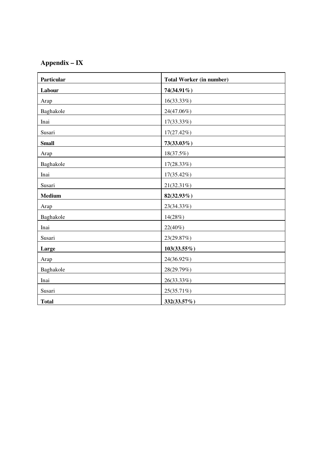## **Appendix – IX**

| Particular    | <b>Total Worker (in number)</b> |
|---------------|---------------------------------|
| Labour        | 74(34.91%)                      |
| Arap          | $16(33.33\%)$                   |
| Baghakole     | 24(47.06%)                      |
| Inai          | 17(33.33%)                      |
| Susari        | 17(27.42%)                      |
| <b>Small</b>  | 73(33.03%)                      |
| Arap          | 18(37.5%)                       |
| Baghakole     | 17(28.33%)                      |
| Inai          | 17(35.42%)                      |
| Susari        | 21(32.31%)                      |
| <b>Medium</b> | 82(32.93%)                      |
| Arap          | 23(34.33%)                      |
| Baghakole     | 14(28%)                         |
| Inai          | 22(40%)                         |
| Susari        | 23(29.87%)                      |
| Large         | $103(33.55\%)$                  |
| Arap          | 24(36.92%)                      |
| Baghakole     | 28(29.79%)                      |
| Inai          | 26(33.33%)                      |
| Susari        | 25(35.71%)                      |
| <b>Total</b>  | 332(33.57%)                     |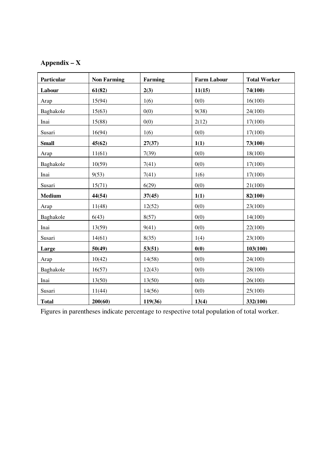## **Appendix – X**

| Particular    | <b>Non Farming</b> | <b>Farming</b> | <b>Farm Labour</b> | <b>Total Worker</b> |
|---------------|--------------------|----------------|--------------------|---------------------|
| Labour        | 61(82)             | 2(3)           | 11(15)             | 74(100)             |
| Arap          | 15(94)             | 1(6)           | 0(0)               | 16(100)             |
| Baghakole     | 15(63)             | 0(0)           | 9(38)              | 24(100)             |
| Inai          | 15(88)             | 0(0)           | 2(12)              | 17(100)             |
| Susari        | 16(94)             | 1(6)           | 0(0)               | 17(100)             |
| <b>Small</b>  | 45(62)             | 27(37)         | 1(1)               | 73(100)             |
| Arap          | 11(61)             | 7(39)          | 0(0)               | 18(100)             |
| Baghakole     | 10(59)             | 7(41)          | 0(0)               | 17(100)             |
| Inai          | 9(53)              | 7(41)          | 1(6)               | 17(100)             |
| Susari        | 15(71)             | 6(29)          | 0(0)               | 21(100)             |
| <b>Medium</b> | 44(54)             | 37(45)         | 1(1)               | 82(100)             |
| Arap          | 11(48)             | 12(52)         | 0(0)               | 23(100)             |
| Baghakole     | 6(43)              | 8(57)          | 0(0)               | 14(100)             |
| Inai          | 13(59)             | 9(41)          | 0(0)               | 22(100)             |
| Susari        | 14(61)             | 8(35)          | 1(4)               | 23(100)             |
| Large         | 50(49)             | 53(51)         | 0(0)               | 103(100)            |
| Arap          | 10(42)             | 14(58)         | 0(0)               | 24(100)             |
| Baghakole     | 16(57)             | 12(43)         | 0(0)               | 28(100)             |
| Inai          | 13(50)             | 13(50)         | 0(0)               | 26(100)             |
| Susari        | 11(44)             | 14(56)         | 0(0)               | 25(100)             |
| <b>Total</b>  | 200(60)            | 119(36)        | 13(4)              | 332(100)            |

Figures in parentheses indicate percentage to respective total population of total worker.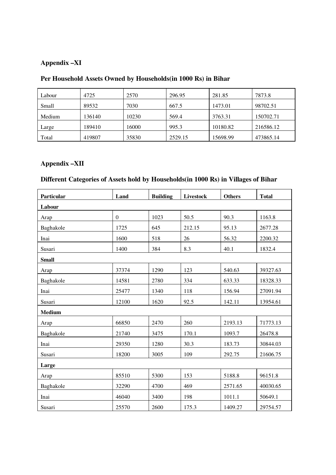### **Appendix –XI**

| Labour | 4725   | 2570  | 296.95  | 281.85   | 7873.8    |
|--------|--------|-------|---------|----------|-----------|
| Small  | 89532  | 7030  | 667.5   | 1473.01  | 98702.51  |
| Medium | 136140 | 10230 | 569.4   | 3763.31  | 150702.71 |
| Large  | 189410 | 16000 | 995.3   | 10180.82 | 216586.12 |
| Total  | 419807 | 35830 | 2529.15 | 15698.99 | 473865.14 |

## **Per Household Assets Owned by Households(in 1000 Rs) in Bihar**

### **Appendix –XII**

## **Different Categories of Assets hold by Households(in 1000 Rs) in Villages of Bihar**

| Particular    | Land         | <b>Building</b> | Livestock | <b>Others</b> | <b>Total</b> |
|---------------|--------------|-----------------|-----------|---------------|--------------|
| Labour        |              |                 |           |               |              |
| Arap          | $\mathbf{0}$ | 1023            | 50.5      | 90.3          | 1163.8       |
| Baghakole     | 1725         | 645             | 212.15    | 95.13         | 2677.28      |
| Inai          | 1600         | 518             | 26        | 56.32         | 2200.32      |
| Susari        | 1400         | 384             | 8.3       | 40.1          | 1832.4       |
| <b>Small</b>  |              |                 |           |               |              |
| Arap          | 37374        | 1290            | 123       | 540.63        | 39327.63     |
| Baghakole     | 14581        | 2780            | 334       | 633.33        | 18328.33     |
| Inai          | 25477        | 1340            | 118       | 156.94        | 27091.94     |
| Susari        | 12100        | 1620            | 92.5      | 142.11        | 13954.61     |
| <b>Medium</b> |              |                 |           |               |              |
| Arap          | 66850        | 2470            | 260       | 2193.13       | 71773.13     |
| Baghakole     | 21740        | 3475            | 170.1     | 1093.7        | 26478.8      |
| Inai          | 29350        | 1280            | 30.3      | 183.73        | 30844.03     |
| Susari        | 18200        | 3005            | 109       | 292.75        | 21606.75     |
| Large         |              |                 |           |               |              |
| Arap          | 85510        | 5300            | 153       | 5188.8        | 96151.8      |
| Baghakole     | 32290        | 4700            | 469       | 2571.65       | 40030.65     |
| Inai          | 46040        | 3400            | 198       | 1011.1        | 50649.1      |
| Susari        | 25570        | 2600            | 175.3     | 1409.27       | 29754.57     |